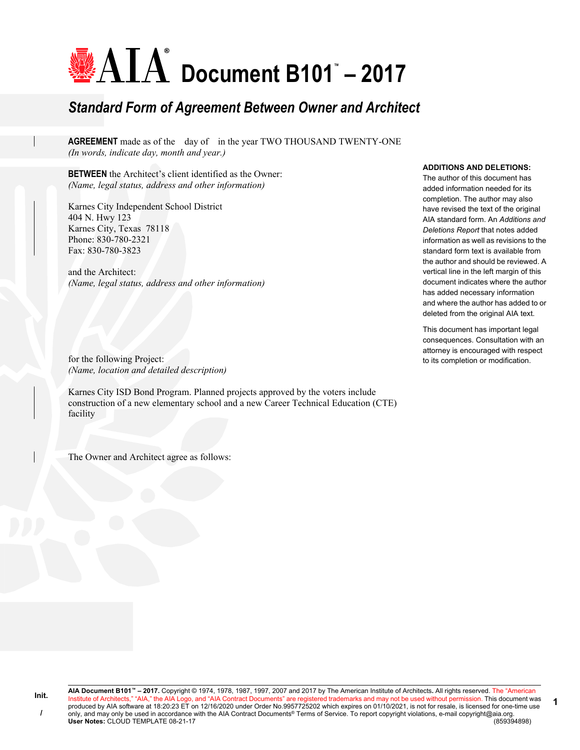# **Document B101™ – 2017**

# *Standard Form of Agreement Between Owner and Architect*

**AGREEMENT** made as of the day of in the year TWO THOUSAND TWENTY-ONE *(In words, indicate day, month and year.)*

**BETWEEN** the Architect's client identified as the Owner: *(Name, legal status, address and other information)*

Karnes City Independent School District 404 N. Hwy 123 Karnes City, Texas 78118 Phone: 830-780-2321 Fax: 830-780-3823

and the Architect: *(Name, legal status, address and other information)*

for the following Project: *(Name, location and detailed description)*

Karnes City ISD Bond Program. Planned projects approved by the voters include construction of a new elementary school and a new Career Technical Education (CTE) facility

The Owner and Architect agree as follows:

#### **ADDITIONS AND DELETIONS:**

The author of this document has added information needed for its completion. The author may also have revised the text of the original AIA standard form. An *Additions and Deletions Report* that notes added information as well as revisions to the standard form text is available from the author and should be reviewed. A vertical line in the left margin of this document indicates where the author has added necessary information and where the author has added to or deleted from the original AIA text.

This document has important legal consequences. Consultation with an attorney is encouraged with respect to its completion or modification.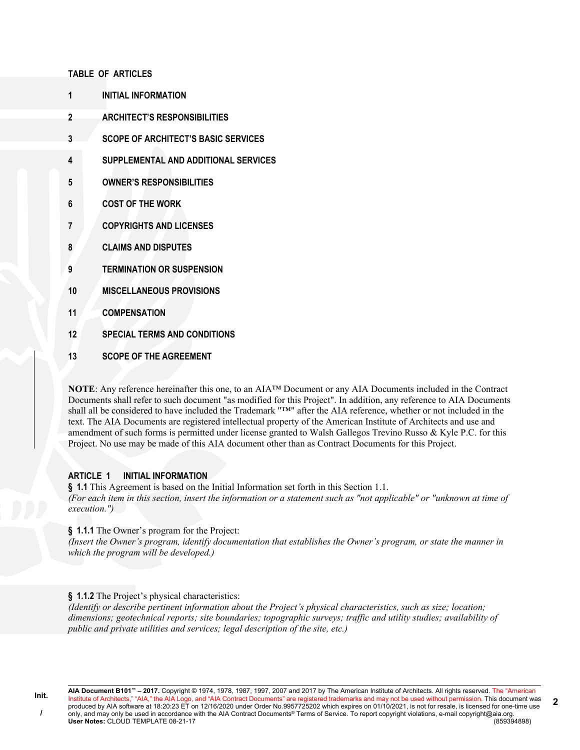#### **TABLE OF ARTICLES**

- **1 INITIAL INFORMATION**
- **2 ARCHITECT'S RESPONSIBILITIES**
- **3 SCOPE OF ARCHITECT'S BASIC SERVICES**
- **4 SUPPLEMENTAL AND ADDITIONAL SERVICES**
- **5 OWNER'S RESPONSIBILITIES**
- **6 COST OF THE WORK**
- **7 COPYRIGHTS AND LICENSES**
- **8 CLAIMS AND DISPUTES**
- **9 TERMINATION OR SUSPENSION**
- **10 MISCELLANEOUS PROVISIONS**
- **11 COMPENSATION**
- **12 SPECIAL TERMS AND CONDITIONS**
- **13 SCOPE OF THE AGREEMENT**

**NOTE**: Any reference hereinafter this one, to an AIA™ Document or any AIA Documents included in the Contract Documents shall refer to such document "as modified for this Project". In addition, any reference to AIA Documents shall all be considered to have included the Trademark "™" after the AIA reference, whether or not included in the text. The AIA Documents are registered intellectual property of the American Institute of Architects and use and amendment of such forms is permitted under license granted to Walsh Gallegos Trevino Russo & Kyle P.C. for this Project. No use may be made of this AIA document other than as Contract Documents for this Project.

### **ARTICLE 1 INITIAL INFORMATION**

**§ 1.1** This Agreement is based on the Initial Information set forth in this Section 1.1. *(For each item in this section, insert the information or a statement such as "not applicable" or "unknown at time of execution.")*

# **§ 1.1.1** The Owner's program for the Project:

*(Insert the Owner's program, identify documentation that establishes the Owner's program, or state the manner in which the program will be developed.)*

# **§ 1.1.2** The Project's physical characteristics:

*(Identify or describe pertinent information about the Project's physical characteristics, such as size; location; dimensions; geotechnical reports; site boundaries; topographic surveys; traffic and utility studies; availability of public and private utilities and services; legal description of the site, etc.)*

**AIA Document B101™ – 2017.** Copyright © 1974, 1978, 1987, 1997, 2007 and 2017 by The American Institute of Architects. All rights reserved. The "American Institute of Architects," "AIA," the AIA Logo, and "AIA Contract Documents" are registered trademarks and may not be used without permission. This document was produced by AIA software at 18:20:23 ET on 12/16/2020 under Order No.9957725202 which expires on 01/10/2021, is not for resale, is licensed for one-time use only, and may only be used in accordance with the AIA Contract Documents® Terms of Service. To report copyright violations, e-mail copyright@aia.org. **User Notes:** CLOUD TEMPLATE 08-21-17 (859394898) **2**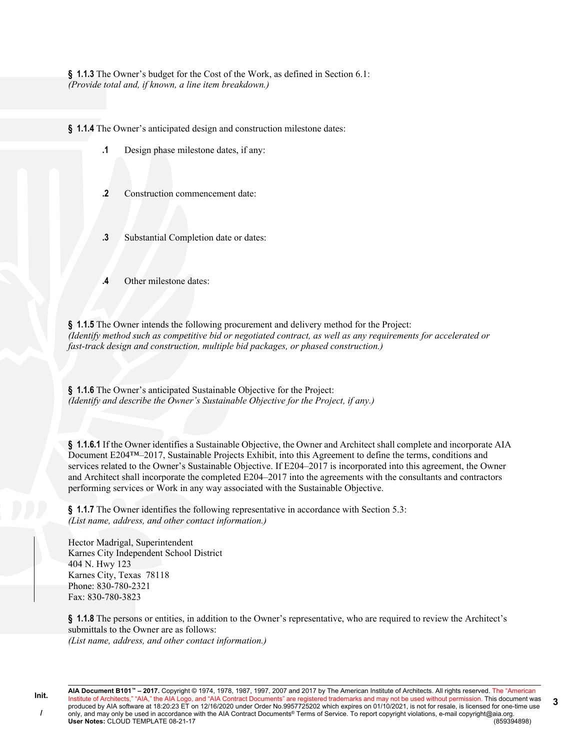**§ 1.1.3** The Owner's budget for the Cost of the Work, as defined in Section 6.1: *(Provide total and, if known, a line item breakdown.)*

**§ 1.1.4** The Owner's anticipated design and construction milestone dates:

- **.1** Design phase milestone dates, if any:
- **.2** Construction commencement date:
- **.3** Substantial Completion date or dates:
- **Other milestone dates:**

**§ 1.1.5** The Owner intends the following procurement and delivery method for the Project: *(Identify method such as competitive bid or negotiated contract, as well as any requirements for accelerated or fast-track design and construction, multiple bid packages, or phased construction.)*

**§ 1.1.6** The Owner's anticipated Sustainable Objective for the Project: *(Identify and describe the Owner's Sustainable Objective for the Project, if any.)*

**§ 1.1.6.1** If the Owner identifies a Sustainable Objective, the Owner and Architect shall complete and incorporate AIA Document E204™–2017, Sustainable Projects Exhibit, into this Agreement to define the terms, conditions and services related to the Owner's Sustainable Objective. If E204–2017 is incorporated into this agreement, the Owner and Architect shall incorporate the completed E204–2017 into the agreements with the consultants and contractors performing services or Work in any way associated with the Sustainable Objective.

**§ 1.1.7** The Owner identifies the following representative in accordance with Section 5.3: *(List name, address, and other contact information.)*

Hector Madrigal, Superintendent Karnes City Independent School District 404 N. Hwy 123 Karnes City, Texas 78118 Phone: 830-780-2321 Fax: 830-780-3823

**§ 1.1.8** The persons or entities, in addition to the Owner's representative, who are required to review the Architect's submittals to the Owner are as follows: *(List name, address, and other contact information.)*

**AIA Document B101™ – 2017.** Copyright © 1974, 1978, 1987, 1997, 2007 and 2017 by The American Institute of Architects. All rights reserved. The "American Institute of Architects," "AIA," the AIA Logo, and "AIA Contract Documents" are registered trademarks and may not be used without permission. This document was produced by AIA software at 18:20:23 ET on 12/16/2020 under Order No.9957725202 which expires on 01/10/2021, is not for resale, is licensed for one-time use only, and may only be used in accordance with the AIA Contract Documents® Terms of Service. To report copyright violations, e-mail copyright@aia.org.<br>User Notes: CLOUD TEMPLATE 08-21-17 **User Notes: CLOUD TEMPLATE 08-21-17 3**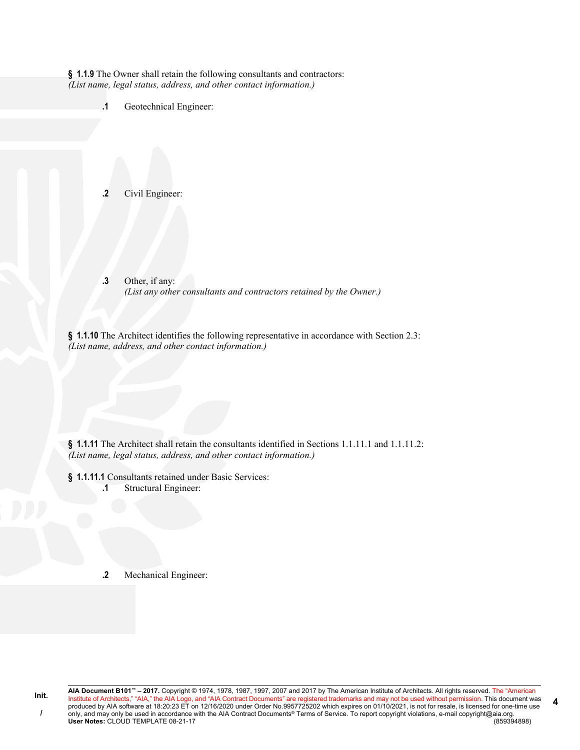**§ 1.1.9** The Owner shall retain the following consultants and contractors: *(List name, legal status, address, and other contact information.)*

**.1** Geotechnical Engineer:

**.2** Civil Engineer:

**.3** Other, if any: *(List any other consultants and contractors retained by the Owner.)*

**§ 1.1.10** The Architect identifies the following representative in accordance with Section 2.3: *(List name, address, and other contact information.)*

§ **1.1.11** The Architect shall retain the consultants identified in Sections 1.1.11.1 and 1.1.11.2: *(List name, legal status, address, and other contact information.)*

**§ 1.1.11.1** Consultants retained under Basic Services:

**.1** Structural Engineer:

**.2** Mechanical Engineer: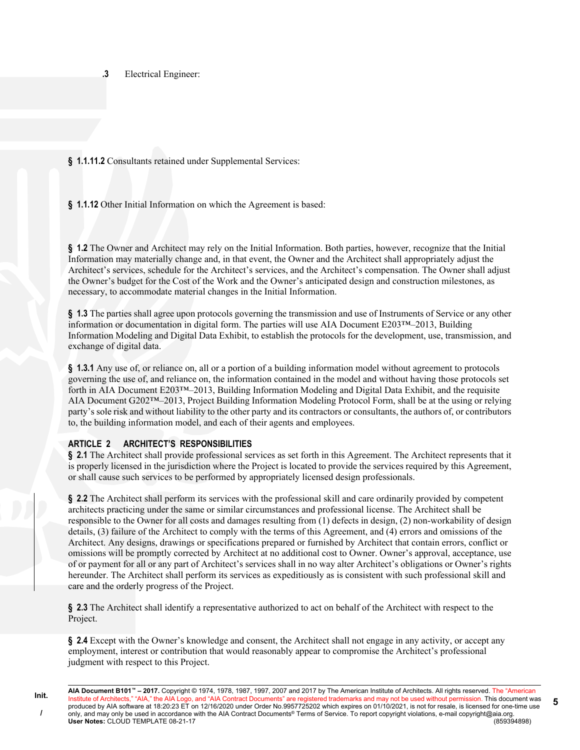**.3** Electrical Engineer:

**§ 1.1.11.2** Consultants retained under Supplemental Services:

**§ 1.1.12** Other Initial Information on which the Agreement is based:

**§ 1.2** The Owner and Architect may rely on the Initial Information. Both parties, however, recognize that the Initial Information may materially change and, in that event, the Owner and the Architect shall appropriately adjust the Architect's services, schedule for the Architect's services, and the Architect's compensation. The Owner shall adjust the Owner's budget for the Cost of the Work and the Owner's anticipated design and construction milestones, as necessary, to accommodate material changes in the Initial Information.

**§ 1.3** The parties shall agree upon protocols governing the transmission and use of Instruments of Service or any other information or documentation in digital form. The parties will use AIA Document E203™–2013, Building Information Modeling and Digital Data Exhibit, to establish the protocols for the development, use, transmission, and exchange of digital data.

**§ 1.3.1** Any use of, or reliance on, all or a portion of a building information model without agreement to protocols governing the use of, and reliance on, the information contained in the model and without having those protocols set forth in AIA Document E203™–2013, Building Information Modeling and Digital Data Exhibit, and the requisite AIA Document G202™–2013, Project Building Information Modeling Protocol Form, shall be at the using or relying party's sole risk and without liability to the other party and its contractors or consultants, the authors of, or contributors to, the building information model, and each of their agents and employees.

# **ARTICLE 2 ARCHITECT'S RESPONSIBILITIES**

**Init. /**

**§ 2.1** The Architect shall provide professional services as set forth in this Agreement. The Architect represents that it is properly licensed in the jurisdiction where the Project is located to provide the services required by this Agreement, or shall cause such services to be performed by appropriately licensed design professionals.

**§ 2.2** The Architect shall perform its services with the professional skill and care ordinarily provided by competent architects practicing under the same or similar circumstances and professional license. The Architect shall be responsible to the Owner for all costs and damages resulting from (1) defects in design, (2) non-workability of design details, (3) failure of the Architect to comply with the terms of this Agreement, and (4) errors and omissions of the Architect. Any designs, drawings or specifications prepared or furnished by Architect that contain errors, conflict or omissions will be promptly corrected by Architect at no additional cost to Owner. Owner's approval, acceptance, use of or payment for all or any part of Architect's services shall in no way alter Architect's obligations or Owner's rights hereunder. The Architect shall perform its services as expeditiously as is consistent with such professional skill and care and the orderly progress of the Project.

**§ 2.3** The Architect shall identify a representative authorized to act on behalf of the Architect with respect to the Project.

**§ 2.4** Except with the Owner's knowledge and consent, the Architect shall not engage in any activity, or accept any employment, interest or contribution that would reasonably appear to compromise the Architect's professional judgment with respect to this Project.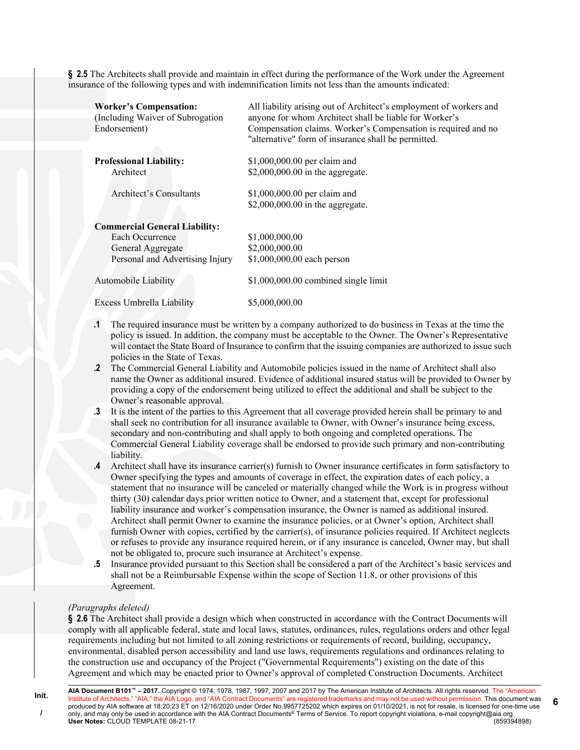**§ 2.5** The Architects shall provide and maintain in effect during the performance of the Work under the Agreement insurance of the following types and with indemnification limits not less than the amounts indicated:

| <b>Worker's Compensation:</b><br>(Including Waiver of Subrogation<br>Endorsement) | All liability arising out of Architect's employment of workers and<br>anyone for whom Architect shall be liable for Worker's<br>Compensation claims. Worker's Compensation is required and no<br>"alternative" form of insurance shall be permitted. |
|-----------------------------------------------------------------------------------|------------------------------------------------------------------------------------------------------------------------------------------------------------------------------------------------------------------------------------------------------|
| <b>Professional Liability:</b>                                                    | \$1,000,000.00 per claim and                                                                                                                                                                                                                         |
| Architect                                                                         | \$2,000,000.00 in the aggregate.                                                                                                                                                                                                                     |
| Architect's Consultants                                                           | \$1,000,000.00 per claim and                                                                                                                                                                                                                         |
|                                                                                   | \$2,000,000.00 in the aggregate.                                                                                                                                                                                                                     |
| <b>Commercial General Liability:</b>                                              |                                                                                                                                                                                                                                                      |
| Each Occurrence                                                                   | \$1,000,000.00                                                                                                                                                                                                                                       |
| General Aggregate                                                                 | \$2,000,000.00                                                                                                                                                                                                                                       |
| Personal and Advertising Injury                                                   | \$1,000,000.00 each person                                                                                                                                                                                                                           |
| <b>Automobile Liability</b>                                                       | $$1,000,000.00$ combined single limit                                                                                                                                                                                                                |
| Excess Umbrella Liability                                                         | \$5,000,000.00                                                                                                                                                                                                                                       |

- **.1** The required insurance must be written by a company authorized to do business in Texas at the time the policy is issued. In addition, the company must be acceptable to the Owner. The Owner's Representative will contact the State Board of Insurance to confirm that the issuing companies are authorized to issue such policies in the State of Texas.
- **.2** The Commercial General Liability and Automobile policies issued in the name of Architect shall also name the Owner as additional insured. Evidence of additional insured status will be provided to Owner by providing a copy of the endorsement being utilized to effect the additional and shall be subject to the Owner's reasonable approval.
- **.3** It is the intent of the parties to this Agreement that all coverage provided herein shall be primary to and shall seek no contribution for all insurance available to Owner, with Owner's insurance being excess, secondary and non-contributing and shall apply to both ongoing and completed operations. The Commercial General Liability coverage shall be endorsed to provide such primary and non-contributing liability.
- **.4** Architect shall have its insurance carrier(s) furnish to Owner insurance certificates in form satisfactory to Owner specifying the types and amounts of coverage in effect, the expiration dates of each policy, a statement that no insurance will be canceled or materially changed while the Work is in progress without thirty (30) calendar days prior written notice to Owner, and a statement that, except for professional liability insurance and worker's compensation insurance, the Owner is named as additional insured. Architect shall permit Owner to examine the insurance policies, or at Owner's option, Architect shall furnish Owner with copies, certified by the carrier(s), of insurance policies required. If Architect neglects or refuses to provide any insurance required herein, or if any insurance is canceled, Owner may, but shall not be obligated to, procure such insurance at Architect's expense.
- **.5** Insurance provided pursuant to this Section shall be considered a part of the Architect's basic services and shall not be a Reimbursable Expense within the scope of Section 11.8, or other provisions of this Agreement.

### *(Paragraphs deleted)*

**§ 2.6** The Architect shall provide a design which when constructed in accordance with the Contract Documents will comply with all applicable federal, state and local laws, statutes, ordinances, rules, regulations orders and other legal requirements including but not limited to all zoning restrictions or requirements of record, building, occupancy, environmental, disabled person accessibility and land use laws, requirements regulations and ordinances relating to the construction use and occupancy of the Project ("Governmental Requirements") existing on the date of this Agreement and which may be enacted prior to Owner's approval of completed Construction Documents. Architect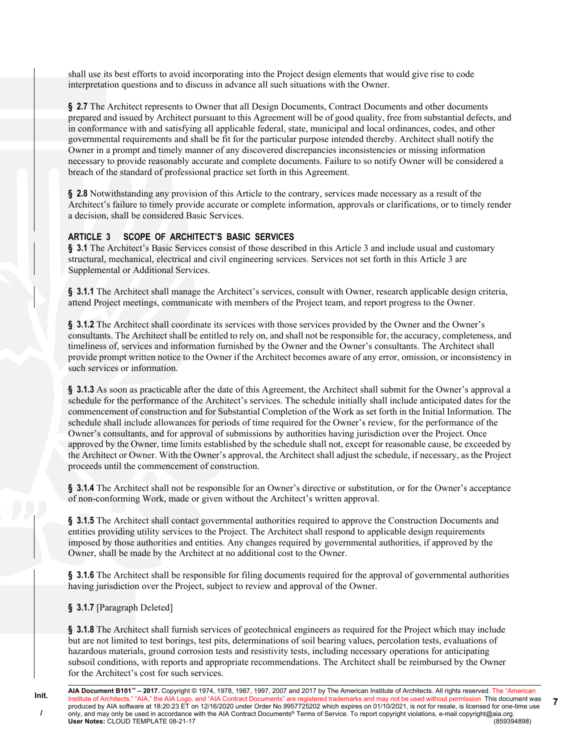shall use its best efforts to avoid incorporating into the Project design elements that would give rise to code interpretation questions and to discuss in advance all such situations with the Owner.

**§ 2.7** The Architect represents to Owner that all Design Documents, Contract Documents and other documents prepared and issued by Architect pursuant to this Agreement will be of good quality, free from substantial defects, and in conformance with and satisfying all applicable federal, state, municipal and local ordinances, codes, and other governmental requirements and shall be fit for the particular purpose intended thereby. Architect shall notify the Owner in a prompt and timely manner of any discovered discrepancies inconsistencies or missing information necessary to provide reasonably accurate and complete documents. Failure to so notify Owner will be considered a breach of the standard of professional practice set forth in this Agreement.

**§ 2.8** Notwithstanding any provision of this Article to the contrary, services made necessary as a result of the Architect's failure to timely provide accurate or complete information, approvals or clarifications, or to timely render a decision, shall be considered Basic Services.

# **ARTICLE 3 SCOPE OF ARCHITECT'S BASIC SERVICES**

**§ 3.1** The Architect's Basic Services consist of those described in this Article 3 and include usual and customary structural, mechanical, electrical and civil engineering services. Services not set forth in this Article 3 are Supplemental or Additional Services.

**§ 3.1.1** The Architect shall manage the Architect's services, consult with Owner, research applicable design criteria, attend Project meetings, communicate with members of the Project team, and report progress to the Owner.

**§ 3.1.2** The Architect shall coordinate its services with those services provided by the Owner and the Owner's consultants. The Architect shall be entitled to rely on, and shall not be responsible for, the accuracy, completeness, and timeliness of, services and information furnished by the Owner and the Owner's consultants. The Architect shall provide prompt written notice to the Owner if the Architect becomes aware of any error, omission, or inconsistency in such services or information.

**§ 3.1.3** As soon as practicable after the date of this Agreement, the Architect shall submit for the Owner's approval a schedule for the performance of the Architect's services. The schedule initially shall include anticipated dates for the commencement of construction and for Substantial Completion of the Work as set forth in the Initial Information. The schedule shall include allowances for periods of time required for the Owner's review, for the performance of the Owner's consultants, and for approval of submissions by authorities having jurisdiction over the Project. Once approved by the Owner, time limits established by the schedule shall not, except for reasonable cause, be exceeded by the Architect or Owner. With the Owner's approval, the Architect shall adjust the schedule, if necessary, as the Project proceeds until the commencement of construction.

**§ 3.1.4** The Architect shall not be responsible for an Owner's directive or substitution, or for the Owner's acceptance of non-conforming Work, made or given without the Architect's written approval.

**§ 3.1.5** The Architect shall contact governmental authorities required to approve the Construction Documents and entities providing utility services to the Project. The Architect shall respond to applicable design requirements imposed by those authorities and entities. Any changes required by governmental authorities, if approved by the Owner, shall be made by the Architect at no additional cost to the Owner.

**§ 3.1.6** The Architect shall be responsible for filing documents required for the approval of governmental authorities having jurisdiction over the Project, subject to review and approval of the Owner.

### **§ 3.1.7** [Paragraph Deleted]

**§ 3.1.8** The Architect shall furnish services of geotechnical engineers as required for the Project which may include but are not limited to test borings, test pits, determinations of soil bearing values, percolation tests, evaluations of hazardous materials, ground corrosion tests and resistivity tests, including necessary operations for anticipating subsoil conditions, with reports and appropriate recommendations. The Architect shall be reimbursed by the Owner for the Architect's cost for such services.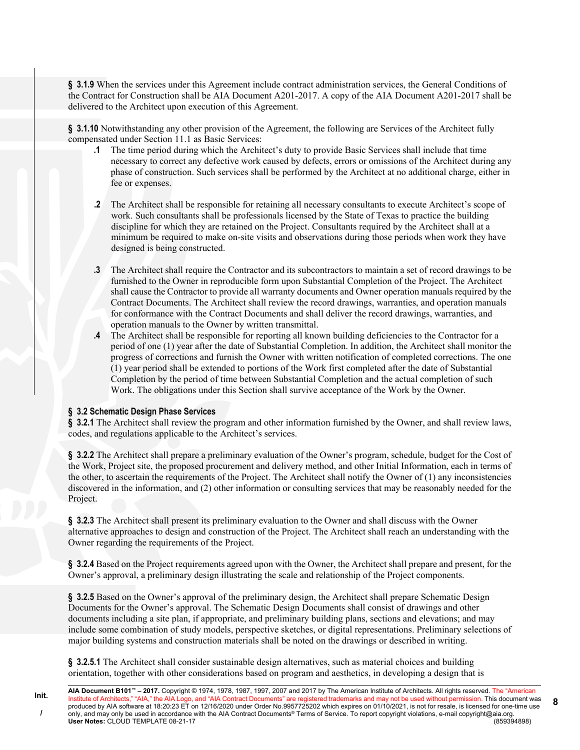**§ 3.1.9** When the services under this Agreement include contract administration services, the General Conditions of the Contract for Construction shall be AIA Document A201-2017. A copy of the AIA Document A201-2017 shall be delivered to the Architect upon execution of this Agreement.

**§ 3.1.10** Notwithstanding any other provision of the Agreement, the following are Services of the Architect fully compensated under Section 11.1 as Basic Services:

- **.1** The time period during which the Architect's duty to provide Basic Services shall include that time necessary to correct any defective work caused by defects, errors or omissions of the Architect during any phase of construction. Such services shall be performed by the Architect at no additional charge, either in fee or expenses.
- **.2** The Architect shall be responsible for retaining all necessary consultants to execute Architect's scope of work. Such consultants shall be professionals licensed by the State of Texas to practice the building discipline for which they are retained on the Project. Consultants required by the Architect shall at a minimum be required to make on-site visits and observations during those periods when work they have designed is being constructed.
- **.3** The Architect shall require the Contractor and its subcontractors to maintain a set of record drawings to be furnished to the Owner in reproducible form upon Substantial Completion of the Project. The Architect shall cause the Contractor to provide all warranty documents and Owner operation manuals required by the Contract Documents. The Architect shall review the record drawings, warranties, and operation manuals for conformance with the Contract Documents and shall deliver the record drawings, warranties, and operation manuals to the Owner by written transmittal.
- **.4** The Architect shall be responsible for reporting all known building deficiencies to the Contractor for a period of one (1) year after the date of Substantial Completion. In addition, the Architect shall monitor the progress of corrections and furnish the Owner with written notification of completed corrections. The one (1) year period shall be extended to portions of the Work first completed after the date of Substantial Completion by the period of time between Substantial Completion and the actual completion of such Work. The obligations under this Section shall survive acceptance of the Work by the Owner.

### **§ 3.2 Schematic Design Phase Services**

**§ 3.2.1** The Architect shall review the program and other information furnished by the Owner, and shall review laws, codes, and regulations applicable to the Architect's services.

**§ 3.2.2** The Architect shall prepare a preliminary evaluation of the Owner's program, schedule, budget for the Cost of the Work, Project site, the proposed procurement and delivery method, and other Initial Information, each in terms of the other, to ascertain the requirements of the Project. The Architect shall notify the Owner of (1) any inconsistencies discovered in the information, and (2) other information or consulting services that may be reasonably needed for the Project.

**§ 3.2.3** The Architect shall present its preliminary evaluation to the Owner and shall discuss with the Owner alternative approaches to design and construction of the Project. The Architect shall reach an understanding with the Owner regarding the requirements of the Project.

**§ 3.2.4** Based on the Project requirements agreed upon with the Owner, the Architect shall prepare and present, for the Owner's approval, a preliminary design illustrating the scale and relationship of the Project components.

§ 3.2.5 Based on the Owner's approval of the preliminary design, the Architect shall prepare Schematic Design Documents for the Owner's approval. The Schematic Design Documents shall consist of drawings and other documents including a site plan, if appropriate, and preliminary building plans, sections and elevations; and may include some combination of study models, perspective sketches, or digital representations. Preliminary selections of major building systems and construction materials shall be noted on the drawings or described in writing.

**§ 3.2.5.1** The Architect shall consider sustainable design alternatives, such as material choices and building orientation, together with other considerations based on program and aesthetics, in developing a design that is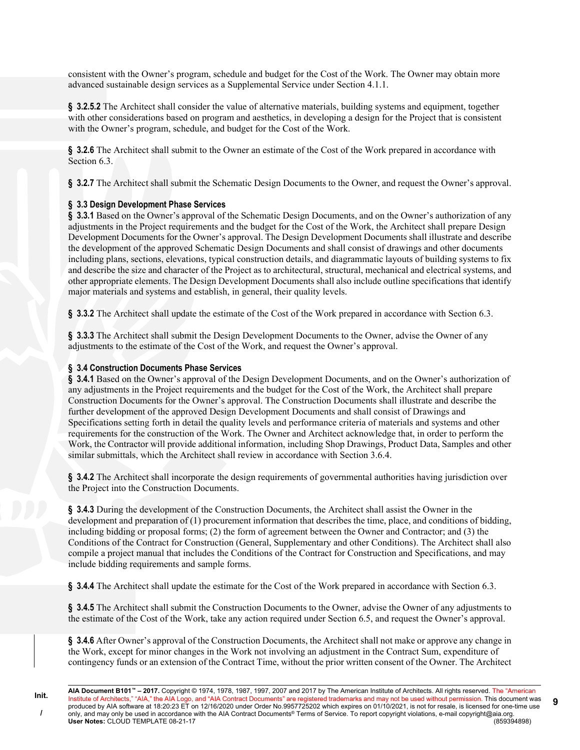consistent with the Owner's program, schedule and budget for the Cost of the Work. The Owner may obtain more advanced sustainable design services as a Supplemental Service under Section 4.1.1.

**§ 3.2.5.2** The Architect shall consider the value of alternative materials, building systems and equipment, together with other considerations based on program and aesthetics, in developing a design for the Project that is consistent with the Owner's program, schedule, and budget for the Cost of the Work.

**§ 3.2.6** The Architect shall submit to the Owner an estimate of the Cost of the Work prepared in accordance with Section 6.3.

**§ 3.2.7** The Architect shall submit the Schematic Design Documents to the Owner, and request the Owner's approval.

# **§ 3.3 Design Development Phase Services**

**§ 3.3.1** Based on the Owner's approval of the Schematic Design Documents, and on the Owner's authorization of any adjustments in the Project requirements and the budget for the Cost of the Work, the Architect shall prepare Design Development Documents for the Owner's approval. The Design Development Documents shall illustrate and describe the development of the approved Schematic Design Documents and shall consist of drawings and other documents including plans, sections, elevations, typical construction details, and diagrammatic layouts of building systems to fix and describe the size and character of the Project as to architectural, structural, mechanical and electrical systems, and other appropriate elements. The Design Development Documents shall also include outline specifications that identify major materials and systems and establish, in general, their quality levels.

**§ 3.3.2** The Architect shall update the estimate of the Cost of the Work prepared in accordance with Section 6.3.

**§ 3.3.3** The Architect shall submit the Design Development Documents to the Owner, advise the Owner of any adjustments to the estimate of the Cost of the Work, and request the Owner's approval.

# **§ 3.4 Construction Documents Phase Services**

**§ 3.4.1** Based on the Owner's approval of the Design Development Documents, and on the Owner's authorization of any adjustments in the Project requirements and the budget for the Cost of the Work, the Architect shall prepare Construction Documents for the Owner's approval. The Construction Documents shall illustrate and describe the further development of the approved Design Development Documents and shall consist of Drawings and Specifications setting forth in detail the quality levels and performance criteria of materials and systems and other requirements for the construction of the Work. The Owner and Architect acknowledge that, in order to perform the Work, the Contractor will provide additional information, including Shop Drawings, Product Data, Samples and other similar submittals, which the Architect shall review in accordance with Section 3.6.4.

**§ 3.4.2** The Architect shall incorporate the design requirements of governmental authorities having jurisdiction over the Project into the Construction Documents.

**§ 3.4.3** During the development of the Construction Documents, the Architect shall assist the Owner in the development and preparation of (1) procurement information that describes the time, place, and conditions of bidding, including bidding or proposal forms; (2) the form of agreement between the Owner and Contractor; and (3) the Conditions of the Contract for Construction (General, Supplementary and other Conditions). The Architect shall also compile a project manual that includes the Conditions of the Contract for Construction and Specifications, and may include bidding requirements and sample forms.

**§ 3.4.4** The Architect shall update the estimate for the Cost of the Work prepared in accordance with Section 6.3.

**§ 3.4.5** The Architect shall submit the Construction Documents to the Owner, advise the Owner of any adjustments to the estimate of the Cost of the Work, take any action required under Section 6.5, and request the Owner's approval.

**§ 3.4.6** After Owner's approval of the Construction Documents, the Architect shall not make or approve any change in the Work, except for minor changes in the Work not involving an adjustment in the Contract Sum, expenditure of contingency funds or an extension of the Contract Time, without the prior written consent of the Owner. The Architect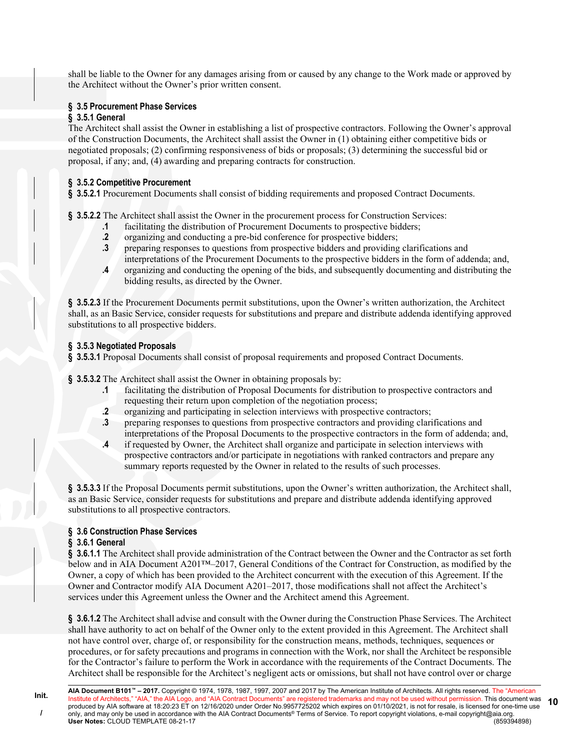shall be liable to the Owner for any damages arising from or caused by any change to the Work made or approved by the Architect without the Owner's prior written consent.

# **§ 3.5 Procurement Phase Services**

# **§ 3.5.1 General**

The Architect shall assist the Owner in establishing a list of prospective contractors. Following the Owner's approval of the Construction Documents, the Architect shall assist the Owner in (1) obtaining either competitive bids or negotiated proposals; (2) confirming responsiveness of bids or proposals; (3) determining the successful bid or proposal, if any; and, (4) awarding and preparing contracts for construction.

# **§ 3.5.2 Competitive Procurement**

§ 3.5.2.1 Procurement Documents shall consist of bidding requirements and proposed Contract Documents.

- **§ 3.5.2.2** The Architect shall assist the Owner in the procurement process for Construction Services:
	- **.1** facilitating the distribution of Procurement Documents to prospective bidders;
	- **.2** organizing and conducting a pre-bid conference for prospective bidders;
	- **.3** preparing responses to questions from prospective bidders and providing clarifications and interpretations of the Procurement Documents to the prospective bidders in the form of addenda; and,
	- **.4** organizing and conducting the opening of the bids, and subsequently documenting and distributing the bidding results, as directed by the Owner.

**§ 3.5.2.3** If the Procurement Documents permit substitutions, upon the Owner's written authorization, the Architect shall, as an Basic Service, consider requests for substitutions and prepare and distribute addenda identifying approved substitutions to all prospective bidders.

# **§ 3.5.3 Negotiated Proposals**

**§ 3.5.3.1** Proposal Documents shall consist of proposal requirements and proposed Contract Documents.

**§ 3.5.3.2** The Architect shall assist the Owner in obtaining proposals by:

- **.1** facilitating the distribution of Proposal Documents for distribution to prospective contractors and requesting their return upon completion of the negotiation process;
- **.2** organizing and participating in selection interviews with prospective contractors;
- **.3** preparing responses to questions from prospective contractors and providing clarifications and interpretations of the Proposal Documents to the prospective contractors in the form of addenda; and,
- **.4** if requested by Owner, the Architect shall organize and participate in selection interviews with prospective contractors and/or participate in negotiations with ranked contractors and prepare any summary reports requested by the Owner in related to the results of such processes.

**§ 3.5.3.3** If the Proposal Documents permit substitutions, upon the Owner's written authorization, the Architect shall, as an Basic Service, consider requests for substitutions and prepare and distribute addenda identifying approved substitutions to all prospective contractors.

# **§ 3.6 Construction Phase Services**

### **§ 3.6.1 General**

§ 3.6.1.1 The Architect shall provide administration of the Contract between the Owner and the Contractor as set forth below and in AIA Document A201™–2017, General Conditions of the Contract for Construction, as modified by the Owner, a copy of which has been provided to the Architect concurrent with the execution of this Agreement. If the Owner and Contractor modify AIA Document A201–2017, those modifications shall not affect the Architect's services under this Agreement unless the Owner and the Architect amend this Agreement.

**§ 3.6.1.2** The Architect shall advise and consult with the Owner during the Construction Phase Services. The Architect shall have authority to act on behalf of the Owner only to the extent provided in this Agreement. The Architect shall not have control over, charge of, or responsibility for the construction means, methods, techniques, sequences or procedures, or for safety precautions and programs in connection with the Work, nor shall the Architect be responsible for the Contractor's failure to perform the Work in accordance with the requirements of the Contract Documents. The Architect shall be responsible for the Architect's negligent acts or omissions, but shall not have control over or charge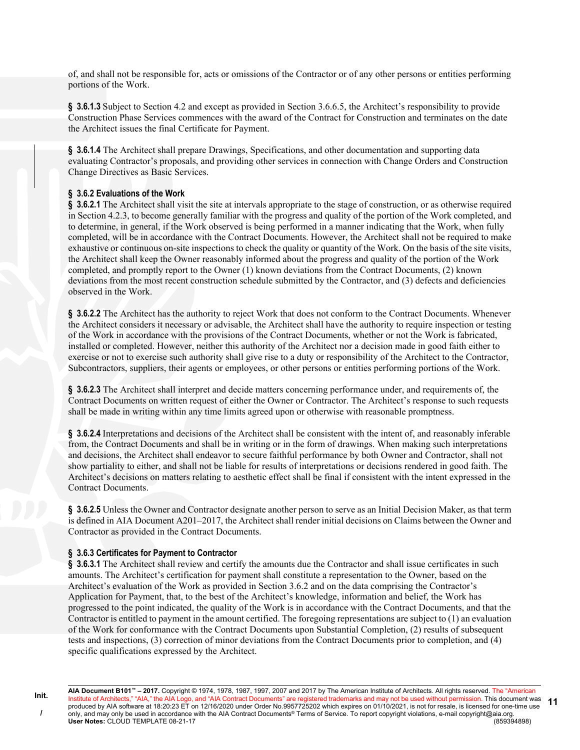of, and shall not be responsible for, acts or omissions of the Contractor or of any other persons or entities performing portions of the Work.

**§ 3.6.1.3** Subject to Section 4.2 and except as provided in Section 3.6.6.5, the Architect's responsibility to provide Construction Phase Services commences with the award of the Contract for Construction and terminates on the date the Architect issues the final Certificate for Payment.

**§ 3.6.1.4** The Architect shall prepare Drawings, Specifications, and other documentation and supporting data evaluating Contractor's proposals, and providing other services in connection with Change Orders and Construction Change Directives as Basic Services.

### **§ 3.6.2 Evaluations of the Work**

**§ 3.6.2.1** The Architect shall visit the site at intervals appropriate to the stage of construction, or as otherwise required in Section 4.2.3, to become generally familiar with the progress and quality of the portion of the Work completed, and to determine, in general, if the Work observed is being performed in a manner indicating that the Work, when fully completed, will be in accordance with the Contract Documents. However, the Architect shall not be required to make exhaustive or continuous on-site inspections to check the quality or quantity of the Work. On the basis of the site visits, the Architect shall keep the Owner reasonably informed about the progress and quality of the portion of the Work completed, and promptly report to the Owner (1) known deviations from the Contract Documents, (2) known deviations from the most recent construction schedule submitted by the Contractor, and (3) defects and deficiencies observed in the Work.

§ 3.6.2.2 The Architect has the authority to reject Work that does not conform to the Contract Documents. Whenever the Architect considers it necessary or advisable, the Architect shall have the authority to require inspection or testing of the Work in accordance with the provisions of the Contract Documents, whether or not the Work is fabricated, installed or completed. However, neither this authority of the Architect nor a decision made in good faith either to exercise or not to exercise such authority shall give rise to a duty or responsibility of the Architect to the Contractor, Subcontractors, suppliers, their agents or employees, or other persons or entities performing portions of the Work.

**§ 3.6.2.3** The Architect shall interpret and decide matters concerning performance under, and requirements of, the Contract Documents on written request of either the Owner or Contractor. The Architect's response to such requests shall be made in writing within any time limits agreed upon or otherwise with reasonable promptness.

**§ 3.6.2.4** Interpretations and decisions of the Architect shall be consistent with the intent of, and reasonably inferable from, the Contract Documents and shall be in writing or in the form of drawings. When making such interpretations and decisions, the Architect shall endeavor to secure faithful performance by both Owner and Contractor, shall not show partiality to either, and shall not be liable for results of interpretations or decisions rendered in good faith. The Architect's decisions on matters relating to aesthetic effect shall be final if consistent with the intent expressed in the Contract Documents.

**§ 3.6.2.5** Unless the Owner and Contractor designate another person to serve as an Initial Decision Maker, as that term is defined in AIA Document A201–2017, the Architect shall render initial decisions on Claims between the Owner and Contractor as provided in the Contract Documents.

#### **§ 3.6.3 Certificates for Payment to Contractor**

§ 3.6.3.1 The Architect shall review and certify the amounts due the Contractor and shall issue certificates in such amounts. The Architect's certification for payment shall constitute a representation to the Owner, based on the Architect's evaluation of the Work as provided in Section 3.6.2 and on the data comprising the Contractor's Application for Payment, that, to the best of the Architect's knowledge, information and belief, the Work has progressed to the point indicated, the quality of the Work is in accordance with the Contract Documents, and that the Contractor is entitled to payment in the amount certified. The foregoing representations are subject to (1) an evaluation of the Work for conformance with the Contract Documents upon Substantial Completion, (2) results of subsequent tests and inspections, (3) correction of minor deviations from the Contract Documents prior to completion, and (4) specific qualifications expressed by the Architect.

**AIA Document B101™ – 2017.** Copyright © 1974, 1978, 1987, 1997, 2007 and 2017 by The American Institute of Architects. All rights reserved. The "American Institute of Architects," "AIA," the AIA Logo, and "AIA Contract Documents" are registered trademarks and may not be used without permission. This document was produced by AIA software at 18:20:23 ET on 12/16/2020 under Order No.9957725202 which expires on 01/10/2021, is not for resale, is licensed for one-time use only, and may only be used in accordance with the AIA Contract Documents® Terms of Service. To report copyright violations, e-mail copyright@aia.org.<br>User Notes: CLOUD TEMPLATE 08-21-17 **User Notes: CLOUD TEMPLATE 08-21-17 11**

**Init. /**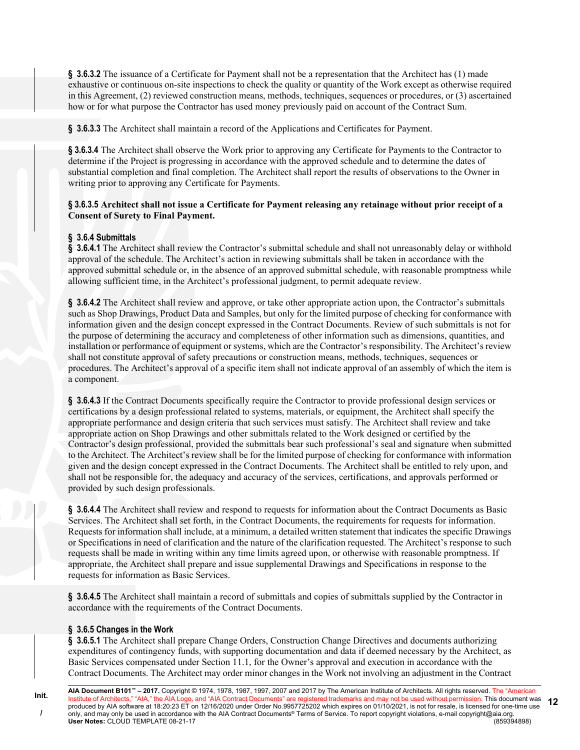**§ 3.6.3.2** The issuance of a Certificate for Payment shall not be a representation that the Architect has (1) made exhaustive or continuous on-site inspections to check the quality or quantity of the Work except as otherwise required in this Agreement, (2) reviewed construction means, methods, techniques, sequences or procedures, or (3) ascertained how or for what purpose the Contractor has used money previously paid on account of the Contract Sum.

**§ 3.6.3.3** The Architect shall maintain a record of the Applications and Certificates for Payment.

**§ 3.6.3.4** The Architect shall observe the Work prior to approving any Certificate for Payments to the Contractor to determine if the Project is progressing in accordance with the approved schedule and to determine the dates of substantial completion and final completion. The Architect shall report the results of observations to the Owner in writing prior to approving any Certificate for Payments.

# **§ 3.6.3.5 Architect shall not issue a Certificate for Payment releasing any retainage without prior receipt of a Consent of Surety to Final Payment.**

# **§ 3.6.4 Submittals**

**§ 3.6.4.1** The Architect shall review the Contractor's submittal schedule and shall not unreasonably delay or withhold approval of the schedule. The Architect's action in reviewing submittals shall be taken in accordance with the approved submittal schedule or, in the absence of an approved submittal schedule, with reasonable promptness while allowing sufficient time, in the Architect's professional judgment, to permit adequate review.

**§ 3.6.4.2** The Architect shall review and approve, or take other appropriate action upon, the Contractor's submittals such as Shop Drawings, Product Data and Samples, but only for the limited purpose of checking for conformance with information given and the design concept expressed in the Contract Documents. Review of such submittals is not for the purpose of determining the accuracy and completeness of other information such as dimensions, quantities, and installation or performance of equipment or systems, which are the Contractor's responsibility. The Architect's review shall not constitute approval of safety precautions or construction means, methods, techniques, sequences or procedures. The Architect's approval of a specific item shall not indicate approval of an assembly of which the item is a component.

**§ 3.6.4.3** If the Contract Documents specifically require the Contractor to provide professional design services or certifications by a design professional related to systems, materials, or equipment, the Architect shall specify the appropriate performance and design criteria that such services must satisfy. The Architect shall review and take appropriate action on Shop Drawings and other submittals related to the Work designed or certified by the Contractor's design professional, provided the submittals bear such professional's seal and signature when submitted to the Architect. The Architect's review shall be for the limited purpose of checking for conformance with information given and the design concept expressed in the Contract Documents. The Architect shall be entitled to rely upon, and shall not be responsible for, the adequacy and accuracy of the services, certifications, and approvals performed or provided by such design professionals.

**§ 3.6.4.4** The Architect shall review and respond to requests for information about the Contract Documents as Basic Services. The Architect shall set forth, in the Contract Documents, the requirements for requests for information. Requests for information shall include, at a minimum, a detailed written statement that indicates the specific Drawings or Specifications in need of clarification and the nature of the clarification requested. The Architect's response to such requests shall be made in writing within any time limits agreed upon, or otherwise with reasonable promptness. If appropriate, the Architect shall prepare and issue supplemental Drawings and Specifications in response to the requests for information as Basic Services.

**§ 3.6.4.5** The Architect shall maintain a record of submittals and copies of submittals supplied by the Contractor in accordance with the requirements of the Contract Documents.

### **§ 3.6.5 Changes in the Work**

§ 3.6.5.1 The Architect shall prepare Change Orders, Construction Change Directives and documents authorizing expenditures of contingency funds, with supporting documentation and data if deemed necessary by the Architect, as Basic Services compensated under Section 11.1, for the Owner's approval and execution in accordance with the Contract Documents. The Architect may order minor changes in the Work not involving an adjustment in the Contract

**AIA Document B101™ – 2017.** Copyright © 1974, 1978, 1987, 1997, 2007 and 2017 by The American Institute of Architects. All rights reserved. The "American Institute of Architects," "AIA," the AIA Logo, and "AIA Contract Documents" are registered trademarks and may not be used without permission. This document was produced by AIA software at 18:20:23 ET on 12/16/2020 under Order No.9957725202 which expires on 01/10/2021, is not for resale, is licensed for one-time use only, and may only be used in accordance with the AIA Contract Documents® Terms of Service. To report copyright violations, e-mail copyright@aia.org.<br>User Notes: CLOUD TEMPLATE 08-21-17 **User Notes: CLOUD TEMPLATE 08-21-17 12**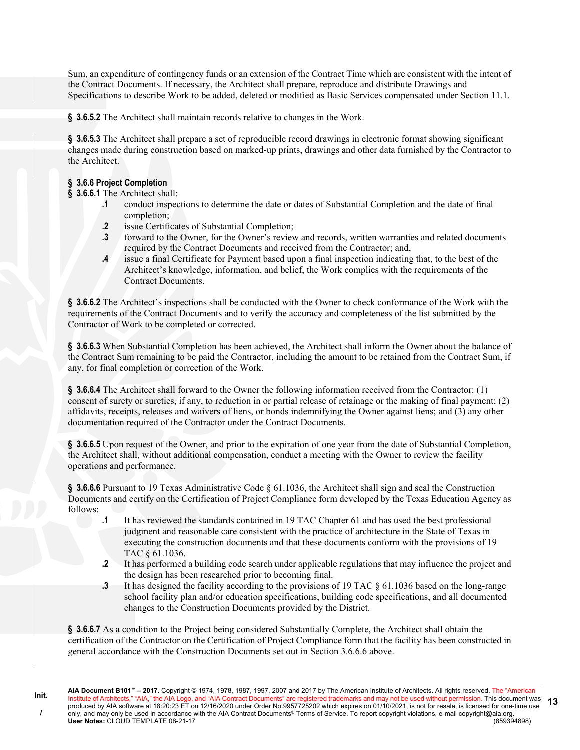Sum, an expenditure of contingency funds or an extension of the Contract Time which are consistent with the intent of the Contract Documents. If necessary, the Architect shall prepare, reproduce and distribute Drawings and Specifications to describe Work to be added, deleted or modified as Basic Services compensated under Section 11.1.

**§ 3.6.5.2** The Architect shall maintain records relative to changes in the Work.

**§ 3.6.5.3** The Architect shall prepare a set of reproducible record drawings in electronic format showing significant changes made during construction based on marked-up prints, drawings and other data furnished by the Contractor to the Architect.

# **§ 3.6.6 Project Completion**

**Init. /**

**§ 3.6.6.1** The Architect shall:

- **.1** conduct inspections to determine the date or dates of Substantial Completion and the date of final completion;
- **.2** issue Certificates of Substantial Completion;
- **.3** forward to the Owner, for the Owner's review and records, written warranties and related documents required by the Contract Documents and received from the Contractor; and,
- **.4** issue a final Certificate for Payment based upon a final inspection indicating that, to the best of the Architect's knowledge, information, and belief, the Work complies with the requirements of the Contract Documents.

**§ 3.6.6.2** The Architect's inspections shall be conducted with the Owner to check conformance of the Work with the requirements of the Contract Documents and to verify the accuracy and completeness of the list submitted by the Contractor of Work to be completed or corrected.

**§ 3.6.6.3** When Substantial Completion has been achieved, the Architect shall inform the Owner about the balance of the Contract Sum remaining to be paid the Contractor, including the amount to be retained from the Contract Sum, if any, for final completion or correction of the Work.

**§ 3.6.6.4** The Architect shall forward to the Owner the following information received from the Contractor: (1) consent of surety or sureties, if any, to reduction in or partial release of retainage or the making of final payment; (2) affidavits, receipts, releases and waivers of liens, or bonds indemnifying the Owner against liens; and (3) any other documentation required of the Contractor under the Contract Documents.

**§ 3.6.6.5** Upon request of the Owner, and prior to the expiration of one year from the date of Substantial Completion, the Architect shall, without additional compensation, conduct a meeting with the Owner to review the facility operations and performance.

§ 3.6.6.6 Pursuant to 19 Texas Administrative Code § 61.1036, the Architect shall sign and seal the Construction Documents and certify on the Certification of Project Compliance form developed by the Texas Education Agency as follows:

- **.1** It has reviewed the standards contained in 19 TAC Chapter 61 and has used the best professional judgment and reasonable care consistent with the practice of architecture in the State of Texas in executing the construction documents and that these documents conform with the provisions of 19 TAC § 61.1036.
- **.2** It has performed a building code search under applicable regulations that may influence the project and the design has been researched prior to becoming final.
- **.3** It has designed the facility according to the provisions of 19 TAC § 61.1036 based on the long-range school facility plan and/or education specifications, building code specifications, and all documented changes to the Construction Documents provided by the District.

**§ 3.6.6.7** As a condition to the Project being considered Substantially Complete, the Architect shall obtain the certification of the Contractor on the Certification of Project Compliance form that the facility has been constructed in general accordance with the Construction Documents set out in Section 3.6.6.6 above.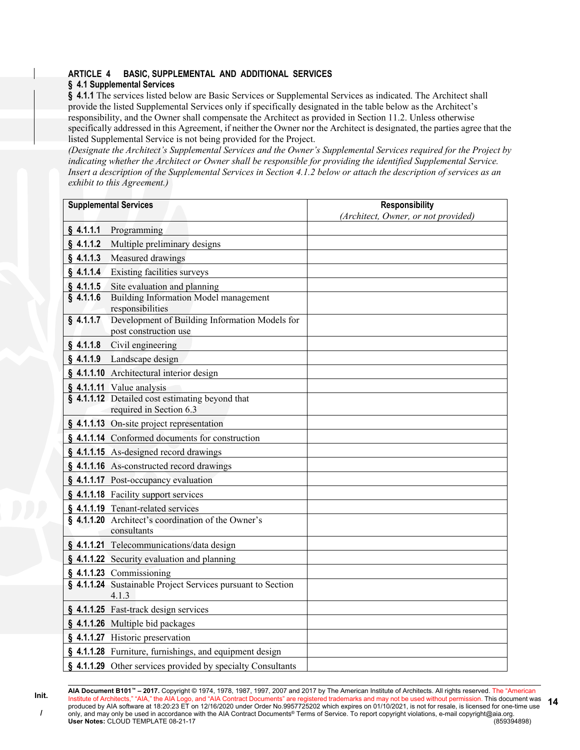# **ARTICLE 4 BASIC, SUPPLEMENTAL AND ADDITIONAL SERVICES**

# **§ 4.1 Supplemental Services**

§ 4.1.1 The services listed below are Basic Services or Supplemental Services as indicated. The Architect shall provide the listed Supplemental Services only if specifically designated in the table below as the Architect's responsibility, and the Owner shall compensate the Architect as provided in Section 11.2. Unless otherwise specifically addressed in this Agreement, if neither the Owner nor the Architect is designated, the parties agree that the listed Supplemental Service is not being provided for the Project.

*(Designate the Architect's Supplemental Services and the Owner's Supplemental Services required for the Project by indicating whether the Architect or Owner shall be responsible for providing the identified Supplemental Service. Insert a description of the Supplemental Services in Section 4.1.2 below or attach the description of services as an exhibit to this Agreement.)*

| <b>Supplemental Services</b> |                                                                            | <b>Responsibility</b>               |  |  |
|------------------------------|----------------------------------------------------------------------------|-------------------------------------|--|--|
|                              |                                                                            | (Architect, Owner, or not provided) |  |  |
| $§$ 4.1.1.1                  | Programming                                                                |                                     |  |  |
| $§$ 4.1.1.2                  | Multiple preliminary designs                                               |                                     |  |  |
| $§$ 4.1.1.3                  | Measured drawings                                                          |                                     |  |  |
| \$4.1.1.4\$                  | <b>Existing facilities surveys</b>                                         |                                     |  |  |
| \$4.1.1.5                    | Site evaluation and planning                                               |                                     |  |  |
| \$4.1.1.6                    | Building Information Model management<br>responsibilities                  |                                     |  |  |
| $§$ 4.1.1.7                  | Development of Building Information Models for<br>post construction use    |                                     |  |  |
| $§$ 4.1.1.8                  | Civil engineering                                                          |                                     |  |  |
| $§$ 4.1.1.9                  | Landscape design                                                           |                                     |  |  |
|                              | § 4.1.1.10 Architectural interior design                                   |                                     |  |  |
|                              | § 4.1.1.11 Value analysis                                                  |                                     |  |  |
|                              | § 4.1.1.12 Detailed cost estimating beyond that<br>required in Section 6.3 |                                     |  |  |
|                              | § 4.1.1.13 On-site project representation                                  |                                     |  |  |
|                              | § 4.1.1.14 Conformed documents for construction                            |                                     |  |  |
|                              | § 4.1.1.15 As-designed record drawings                                     |                                     |  |  |
|                              | § 4.1.1.16 As-constructed record drawings                                  |                                     |  |  |
|                              | § 4.1.1.17 Post-occupancy evaluation                                       |                                     |  |  |
|                              | § 4.1.1.18 Facility support services                                       |                                     |  |  |
|                              | § 4.1.1.19 Tenant-related services                                         |                                     |  |  |
|                              | § 4.1.1.20 Architect's coordination of the Owner's<br>consultants          |                                     |  |  |
|                              | § 4.1.1.21 Telecommunications/data design                                  |                                     |  |  |
|                              | § 4.1.1.22 Security evaluation and planning                                |                                     |  |  |
|                              | $§$ 4.1.1.23 Commissioning                                                 |                                     |  |  |
|                              | § 4.1.1.24 Sustainable Project Services pursuant to Section<br>4.1.3       |                                     |  |  |
|                              | § 4.1.1.25 Fast-track design services                                      |                                     |  |  |
|                              | § 4.1.1.26 Multiple bid packages                                           |                                     |  |  |
|                              | § 4.1.1.27 Historic preservation                                           |                                     |  |  |
|                              | § 4.1.1.28 Furniture, furnishings, and equipment design                    |                                     |  |  |
|                              | § 4.1.1.29 Other services provided by specialty Consultants                |                                     |  |  |

**Init.**

**AIA Document B101™ – 2017.** Copyright © 1974, 1978, 1987, 1997, 2007 and 2017 by The American Institute of Architects. All rights reserved. The "American Institute of Architects," "AIA," the AIA Logo, and "AIA Contract Documents" are registered trademarks and may not be used without permission. This document was produced by AIA software at 18:20:23 ET on 12/16/2020 under Order No.9957725202 which expires on 01/10/2021, is not for resale, is licensed for one-time use only, and may only be used in accordance with the AIA Contract Documents® Terms of Service. To report copyright violations, e-mail copyright@aia.org. **User Notes:** CLOUD TEMPLATE 08-21-17 (859394898) **14**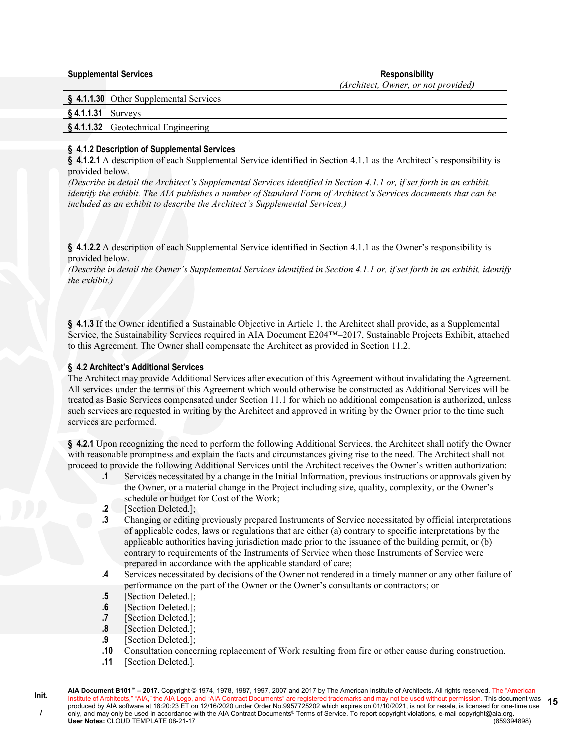| <b>Supplemental Services</b> |                                                   | <b>Responsibility</b>               |  |  |
|------------------------------|---------------------------------------------------|-------------------------------------|--|--|
|                              |                                                   | (Architect, Owner, or not provided) |  |  |
|                              | § 4.1.1.30 Other Supplemental Services            |                                     |  |  |
| $$4.1.1.31$ Surveys          |                                                   |                                     |  |  |
|                              | $\frac{1}{2}$ \$4.1.1.32 Geotechnical Engineering |                                     |  |  |

### **§ 4.1.2 Description of Supplemental Services**

**§ 4.1.2.1** A description of each Supplemental Service identified in Section 4.1.1 as the Architect's responsibility is provided below.

*(Describe in detail the Architect's Supplemental Services identified in Section 4.1.1 or, if set forth in an exhibit, identify the exhibit. The AIA publishes a number of Standard Form of Architect's Services documents that can be included as an exhibit to describe the Architect's Supplemental Services.)*

**§ 4.1.2.2** A description of each Supplemental Service identified in Section 4.1.1 as the Owner's responsibility is provided below.

*(Describe in detail the Owner's Supplemental Services identified in Section 4.1.1 or, if set forth in an exhibit, identify the exhibit.)*

**§ 4.1.3** If the Owner identified a Sustainable Objective in Article 1, the Architect shall provide, as a Supplemental Service, the Sustainability Services required in AIA Document E204™–2017, Sustainable Projects Exhibit, attached to this Agreement. The Owner shall compensate the Architect as provided in Section 11.2.

### **§ 4.2 Architect's Additional Services**

The Architect may provide Additional Services after execution of this Agreement without invalidating the Agreement. All services under the terms of this Agreement which would otherwise be constructed as Additional Services will be treated as Basic Services compensated under Section 11.1 for which no additional compensation is authorized, unless such services are requested in writing by the Architect and approved in writing by the Owner prior to the time such services are performed.

**§ 4.2.1** Upon recognizing the need to perform the following Additional Services, the Architect shall notify the Owner with reasonable promptness and explain the facts and circumstances giving rise to the need. The Architect shall not proceed to provide the following Additional Services until the Architect receives the Owner's written authorization:

- **.1** Services necessitated by a change in the Initial Information, previous instructions or approvals given by the Owner, or a material change in the Project including size, quality, complexity, or the Owner's schedule or budget for Cost of the Work;
- **.2** [Section Deleted.];
- **.3** Changing or editing previously prepared Instruments of Service necessitated by official interpretations of applicable codes, laws or regulations that are either (a) contrary to specific interpretations by the applicable authorities having jurisdiction made prior to the issuance of the building permit, or (b) contrary to requirements of the Instruments of Service when those Instruments of Service were prepared in accordance with the applicable standard of care;
- **.4** Services necessitated by decisions of the Owner not rendered in a timely manner or any other failure of performance on the part of the Owner or the Owner's consultants or contractors; or
- **.5** [Section Deleted.];
- **.6** [Section Deleted.];
- **.7** [Section Deleted.];
- **.8** [Section Deleted.];
- **.9** [Section Deleted.];
- **.10** Consultation concerning replacement of Work resulting from fire or other cause during construction.
- **.11** [Section Deleted.]*.*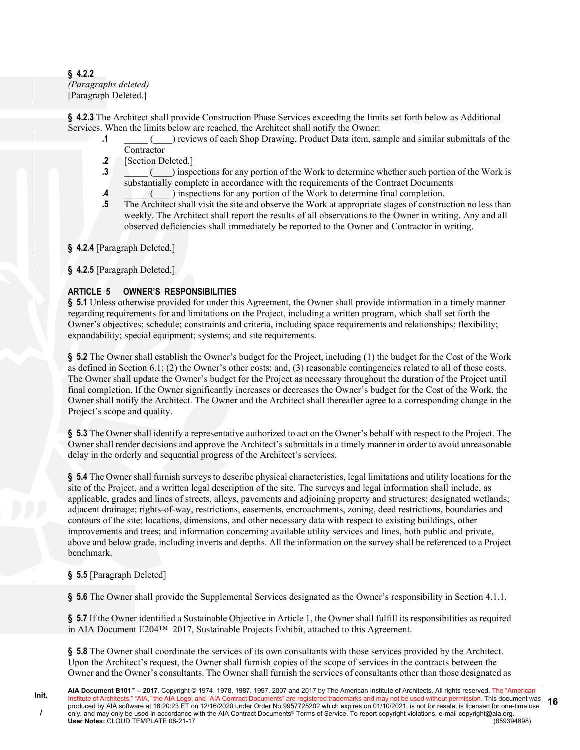#### **§ 4.2.2** *(Paragraphs deleted)* [Paragraph Deleted.]

**§ 4.2.3** The Architect shall provide Construction Phase Services exceeding the limits set forth below as Additional Services. When the limits below are reached, the Architect shall notify the Owner:

- **.1** \_\_\_\_\_ (\_\_\_\_) reviews of each Shop Drawing, Product Data item, sample and similar submittals of the Contractor
- **.2** [Section Deleted.]
- **.3 .3** inspections for any portion of the Work to determine whether such portion of the Work is substantially complete in accordance with the requirements of the Contract Documents
- **.4 .4** (C) inspections for any portion of the Work to determine final completion.
- **.5** The Architect shall visit the site and observe the Work at appropriate stages of construction no less than weekly. The Architect shall report the results of all observations to the Owner in writing. Any and all observed deficiencies shall immediately be reported to the Owner and Contractor in writing.

# **§ 4.2.4** [Paragraph Deleted.]

**§ 4.2.5** [Paragraph Deleted.]

# **ARTICLE 5 OWNER'S RESPONSIBILITIES**

**§ 5.1** Unless otherwise provided for under this Agreement, the Owner shall provide information in a timely manner regarding requirements for and limitations on the Project, including a written program, which shall set forth the Owner's objectives; schedule; constraints and criteria, including space requirements and relationships; flexibility; expandability; special equipment; systems; and site requirements.

**§ 5.2** The Owner shall establish the Owner's budget for the Project, including (1) the budget for the Cost of the Work as defined in Section 6.1; (2) the Owner's other costs; and, (3) reasonable contingencies related to all of these costs. The Owner shall update the Owner's budget for the Project as necessary throughout the duration of the Project until final completion. If the Owner significantly increases or decreases the Owner's budget for the Cost of the Work, the Owner shall notify the Architect. The Owner and the Architect shall thereafter agree to a corresponding change in the Project's scope and quality.

**§ 5.3** The Owner shall identify a representative authorized to act on the Owner's behalf with respect to the Project. The Owner shall render decisions and approve the Architect's submittals in a timely manner in order to avoid unreasonable delay in the orderly and sequential progress of the Architect's services.

**§ 5.4** The Owner shall furnish surveys to describe physical characteristics, legal limitations and utility locations for the site of the Project, and a written legal description of the site. The surveys and legal information shall include, as applicable, grades and lines of streets, alleys, pavements and adjoining property and structures; designated wetlands; adjacent drainage; rights-of-way, restrictions, easements, encroachments, zoning, deed restrictions, boundaries and contours of the site; locations, dimensions, and other necessary data with respect to existing buildings, other improvements and trees; and information concerning available utility services and lines, both public and private, above and below grade, including inverts and depths. All the information on the survey shall be referenced to a Project benchmark.

### **§ 5.5** [Paragraph Deleted]

**§ 5.6** The Owner shall provide the Supplemental Services designated as the Owner's responsibility in Section 4.1.1.

§ **5.7** If the Owner identified a Sustainable Objective in Article 1, the Owner shall fulfill its responsibilities as required in AIA Document E204™–2017, Sustainable Projects Exhibit, attached to this Agreement.

**§ 5.8** The Owner shall coordinate the services of its own consultants with those services provided by the Architect. Upon the Architect's request, the Owner shall furnish copies of the scope of services in the contracts between the Owner and the Owner's consultants. The Owner shall furnish the services of consultants other than those designated as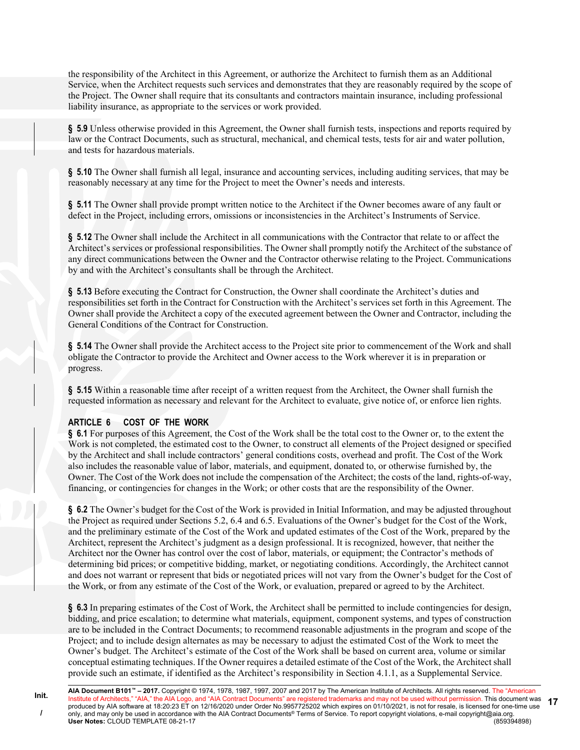the responsibility of the Architect in this Agreement, or authorize the Architect to furnish them as an Additional Service, when the Architect requests such services and demonstrates that they are reasonably required by the scope of the Project. The Owner shall require that its consultants and contractors maintain insurance, including professional liability insurance, as appropriate to the services or work provided.

**§ 5.9** Unless otherwise provided in this Agreement, the Owner shall furnish tests, inspections and reports required by law or the Contract Documents, such as structural, mechanical, and chemical tests, tests for air and water pollution, and tests for hazardous materials.

**§ 5.10** The Owner shall furnish all legal, insurance and accounting services, including auditing services, that may be reasonably necessary at any time for the Project to meet the Owner's needs and interests.

**§ 5.11** The Owner shall provide prompt written notice to the Architect if the Owner becomes aware of any fault or defect in the Project, including errors, omissions or inconsistencies in the Architect's Instruments of Service.

§ 5.12 The Owner shall include the Architect in all communications with the Contractor that relate to or affect the Architect's services or professional responsibilities. The Owner shall promptly notify the Architect of the substance of any direct communications between the Owner and the Contractor otherwise relating to the Project. Communications by and with the Architect's consultants shall be through the Architect.

**§ 5.13** Before executing the Contract for Construction, the Owner shall coordinate the Architect's duties and responsibilities set forth in the Contract for Construction with the Architect's services set forth in this Agreement. The Owner shall provide the Architect a copy of the executed agreement between the Owner and Contractor, including the General Conditions of the Contract for Construction.

**§ 5.14** The Owner shall provide the Architect access to the Project site prior to commencement of the Work and shall obligate the Contractor to provide the Architect and Owner access to the Work wherever it is in preparation or progress.

**§ 5.15** Within a reasonable time after receipt of a written request from the Architect, the Owner shall furnish the requested information as necessary and relevant for the Architect to evaluate, give notice of, or enforce lien rights.

### **ARTICLE 6 COST OF THE WORK**

**Init. /**

**§ 6.1** For purposes of this Agreement, the Cost of the Work shall be the total cost to the Owner or, to the extent the Work is not completed, the estimated cost to the Owner, to construct all elements of the Project designed or specified by the Architect and shall include contractors' general conditions costs, overhead and profit. The Cost of the Work also includes the reasonable value of labor, materials, and equipment, donated to, or otherwise furnished by, the Owner. The Cost of the Work does not include the compensation of the Architect; the costs of the land, rights-of-way, financing, or contingencies for changes in the Work; or other costs that are the responsibility of the Owner.

**§ 6.2** The Owner's budget for the Cost of the Work is provided in Initial Information, and may be adjusted throughout the Project as required under Sections 5.2, 6.4 and 6.5. Evaluations of the Owner's budget for the Cost of the Work, and the preliminary estimate of the Cost of the Work and updated estimates of the Cost of the Work, prepared by the Architect, represent the Architect's judgment as a design professional. It is recognized, however, that neither the Architect nor the Owner has control over the cost of labor, materials, or equipment; the Contractor's methods of determining bid prices; or competitive bidding, market, or negotiating conditions. Accordingly, the Architect cannot and does not warrant or represent that bids or negotiated prices will not vary from the Owner's budget for the Cost of the Work, or from any estimate of the Cost of the Work, or evaluation, prepared or agreed to by the Architect.

**§ 6.3** In preparing estimates of the Cost of Work, the Architect shall be permitted to include contingencies for design, bidding, and price escalation; to determine what materials, equipment, component systems, and types of construction are to be included in the Contract Documents; to recommend reasonable adjustments in the program and scope of the Project; and to include design alternates as may be necessary to adjust the estimated Cost of the Work to meet the Owner's budget. The Architect's estimate of the Cost of the Work shall be based on current area, volume or similar conceptual estimating techniques. If the Owner requires a detailed estimate of the Cost of the Work, the Architect shall provide such an estimate, if identified as the Architect's responsibility in Section 4.1.1, as a Supplemental Service.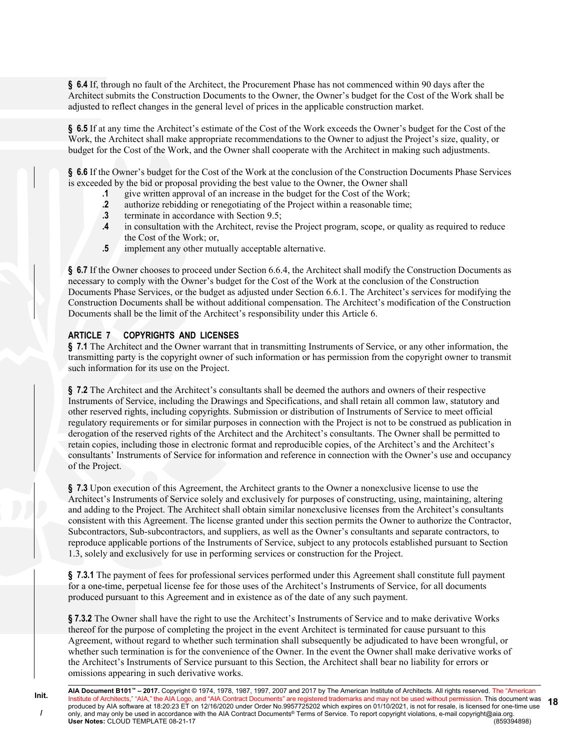**§ 6.4** If, through no fault of the Architect, the Procurement Phase has not commenced within 90 days after the Architect submits the Construction Documents to the Owner, the Owner's budget for the Cost of the Work shall be adjusted to reflect changes in the general level of prices in the applicable construction market.

**§ 6.5** If at any time the Architect's estimate of the Cost of the Work exceeds the Owner's budget for the Cost of the Work, the Architect shall make appropriate recommendations to the Owner to adjust the Project's size, quality, or budget for the Cost of the Work, and the Owner shall cooperate with the Architect in making such adjustments.

**§ 6.6** If the Owner's budget for the Cost of the Work at the conclusion of the Construction Documents Phase Services is exceeded by the bid or proposal providing the best value to the Owner, the Owner shall

- **.1** give written approval of an increase in the budget for the Cost of the Work;
- **.2** authorize rebidding or renegotiating of the Project within a reasonable time;
- **.3** terminate in accordance with Section 9.5;
- **.4** in consultation with the Architect, revise the Project program, scope, or quality as required to reduce the Cost of the Work; or,
- **.5** implement any other mutually acceptable alternative.

**§ 6.7** If the Owner chooses to proceed under Section 6.6.4, the Architect shall modify the Construction Documents as necessary to comply with the Owner's budget for the Cost of the Work at the conclusion of the Construction Documents Phase Services, or the budget as adjusted under Section 6.6.1. The Architect's services for modifying the Construction Documents shall be without additional compensation. The Architect's modification of the Construction Documents shall be the limit of the Architect's responsibility under this Article 6.

### **ARTICLE 7 COPYRIGHTS AND LICENSES**

**§ 7.1** The Architect and the Owner warrant that in transmitting Instruments of Service, or any other information, the transmitting party is the copyright owner of such information or has permission from the copyright owner to transmit such information for its use on the Project.

**§ 7.2** The Architect and the Architect's consultants shall be deemed the authors and owners of their respective Instruments of Service, including the Drawings and Specifications, and shall retain all common law, statutory and other reserved rights, including copyrights. Submission or distribution of Instruments of Service to meet official regulatory requirements or for similar purposes in connection with the Project is not to be construed as publication in derogation of the reserved rights of the Architect and the Architect's consultants. The Owner shall be permitted to retain copies, including those in electronic format and reproducible copies, of the Architect's and the Architect's consultants' Instruments of Service for information and reference in connection with the Owner's use and occupancy of the Project.

**§ 7.3** Upon execution of this Agreement, the Architect grants to the Owner a nonexclusive license to use the Architect's Instruments of Service solely and exclusively for purposes of constructing, using, maintaining, altering and adding to the Project. The Architect shall obtain similar nonexclusive licenses from the Architect's consultants consistent with this Agreement. The license granted under this section permits the Owner to authorize the Contractor, Subcontractors, Sub-subcontractors, and suppliers, as well as the Owner's consultants and separate contractors, to reproduce applicable portions of the Instruments of Service, subject to any protocols established pursuant to Section 1.3, solely and exclusively for use in performing services or construction for the Project.

**§ 7.3.1** The payment of fees for professional services performed under this Agreement shall constitute full payment for a one-time, perpetual license fee for those uses of the Architect's Instruments of Service, for all documents produced pursuant to this Agreement and in existence as of the date of any such payment.

**§ 7.3.2** The Owner shall have the right to use the Architect's Instruments of Service and to make derivative Works thereof for the purpose of completing the project in the event Architect is terminated for cause pursuant to this Agreement, without regard to whether such termination shall subsequently be adjudicated to have been wrongful, or whether such termination is for the convenience of the Owner. In the event the Owner shall make derivative works of the Architect's Instruments of Service pursuant to this Section, the Architect shall bear no liability for errors or omissions appearing in such derivative works.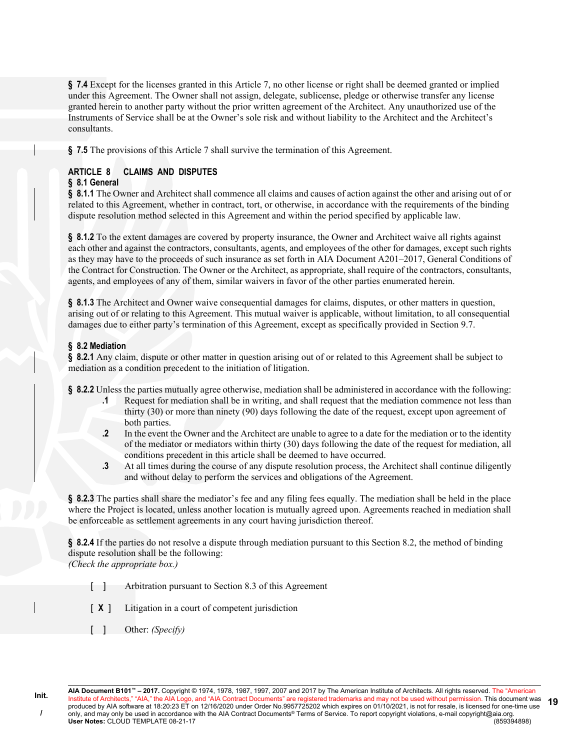**§ 7.4** Except for the licenses granted in this Article 7, no other license or right shall be deemed granted or implied under this Agreement. The Owner shall not assign, delegate, sublicense, pledge or otherwise transfer any license granted herein to another party without the prior written agreement of the Architect. Any unauthorized use of the Instruments of Service shall be at the Owner's sole risk and without liability to the Architect and the Architect's consultants.

**§ 7.5** The provisions of this Article 7 shall survive the termination of this Agreement.

# **ARTICLE 8 CLAIMS AND DISPUTES**

#### **§ 8.1 General**

**§ 8.1.1** The Owner and Architect shall commence all claims and causes of action against the other and arising out of or related to this Agreement, whether in contract, tort, or otherwise, in accordance with the requirements of the binding dispute resolution method selected in this Agreement and within the period specified by applicable law.

**§ 8.1.2** To the extent damages are covered by property insurance, the Owner and Architect waive all rights against each other and against the contractors, consultants, agents, and employees of the other for damages, except such rights as they may have to the proceeds of such insurance as set forth in AIA Document A201–2017, General Conditions of the Contract for Construction. The Owner or the Architect, as appropriate, shall require of the contractors, consultants, agents, and employees of any of them, similar waivers in favor of the other parties enumerated herein.

**§ 8.1.3** The Architect and Owner waive consequential damages for claims, disputes, or other matters in question, arising out of or relating to this Agreement. This mutual waiver is applicable, without limitation, to all consequential damages due to either party's termination of this Agreement, except as specifically provided in Section 9.7.

# **§ 8.2 Mediation**

**§ 8.2.1** Any claim, dispute or other matter in question arising out of or related to this Agreement shall be subject to mediation as a condition precedent to the initiation of litigation.

**§ 8.2.2** Unless the parties mutually agree otherwise, mediation shall be administered in accordance with the following:

- **.1** Request for mediation shall be in writing, and shall request that the mediation commence not less than thirty (30) or more than ninety (90) days following the date of the request, except upon agreement of both parties.
- **.2** In the event the Owner and the Architect are unable to agree to a date for the mediation or to the identity of the mediator or mediators within thirty (30) days following the date of the request for mediation, all conditions precedent in this article shall be deemed to have occurred.
- **.3** At all times during the course of any dispute resolution process, the Architect shall continue diligently and without delay to perform the services and obligations of the Agreement.

**§ 8.2.3** The parties shall share the mediator's fee and any filing fees equally. The mediation shall be held in the place where the Project is located, unless another location is mutually agreed upon. Agreements reached in mediation shall be enforceable as settlement agreements in any court having jurisdiction thereof.

**§ 8.2.4** If the parties do not resolve a dispute through mediation pursuant to this Section 8.2, the method of binding dispute resolution shall be the following:

*(Check the appropriate box.)*

- [ ] Arbitration pursuant to Section 8.3 of this Agreement
- [ **X** ] Litigation in a court of competent jurisdiction
- [ ] Other: *(Specify)*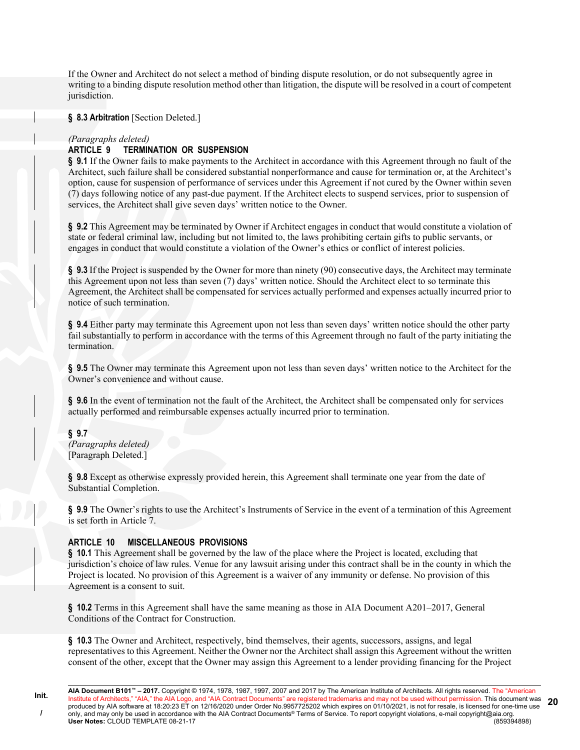If the Owner and Architect do not select a method of binding dispute resolution, or do not subsequently agree in writing to a binding dispute resolution method other than litigation, the dispute will be resolved in a court of competent jurisdiction.

**§ 8.3 Arbitration** [Section Deleted.]

#### *(Paragraphs deleted)*

# **ARTICLE 9 TERMINATION OR SUSPENSION**

**§ 9.1** If the Owner fails to make payments to the Architect in accordance with this Agreement through no fault of the Architect, such failure shall be considered substantial nonperformance and cause for termination or, at the Architect's option, cause for suspension of performance of services under this Agreement if not cured by the Owner within seven (7) days following notice of any past-due payment. If the Architect elects to suspend services, prior to suspension of services, the Architect shall give seven days' written notice to the Owner.

**§ 9.2** This Agreement may be terminated by Owner if Architect engages in conduct that would constitute a violation of state or federal criminal law, including but not limited to, the laws prohibiting certain gifts to public servants, or engages in conduct that would constitute a violation of the Owner's ethics or conflict of interest policies.

**§ 9.3** If the Project is suspended by the Owner for more than ninety (90) consecutive days, the Architect may terminate this Agreement upon not less than seven (7) days' written notice. Should the Architect elect to so terminate this Agreement, the Architect shall be compensated for services actually performed and expenses actually incurred prior to notice of such termination.

**§ 9.4** Either party may terminate this Agreement upon not less than seven days' written notice should the other party fail substantially to perform in accordance with the terms of this Agreement through no fault of the party initiating the termination.

**§ 9.5** The Owner may terminate this Agreement upon not less than seven days' written notice to the Architect for the Owner's convenience and without cause.

**§ 9.6** In the event of termination not the fault of the Architect, the Architect shall be compensated only for services actually performed and reimbursable expenses actually incurred prior to termination.

# **§ 9.7**

*(Paragraphs deleted)* [Paragraph Deleted.]

**§ 9.8** Except as otherwise expressly provided herein, this Agreement shall terminate one year from the date of Substantial Completion.

**§ 9.9** The Owner's rights to use the Architect's Instruments of Service in the event of a termination of this Agreement is set forth in Article 7.

### **ARTICLE 10 MISCELLANEOUS PROVISIONS**

**§ 10.1** This Agreement shall be governed by the law of the place where the Project is located, excluding that jurisdiction's choice of law rules. Venue for any lawsuit arising under this contract shall be in the county in which the Project is located. No provision of this Agreement is a waiver of any immunity or defense. No provision of this Agreement is a consent to suit.

**§ 10.2** Terms in this Agreement shall have the same meaning as those in AIA Document A201–2017, General Conditions of the Contract for Construction.

**§ 10.3** The Owner and Architect, respectively, bind themselves, their agents, successors, assigns, and legal representatives to this Agreement. Neither the Owner nor the Architect shall assign this Agreement without the written consent of the other, except that the Owner may assign this Agreement to a lender providing financing for the Project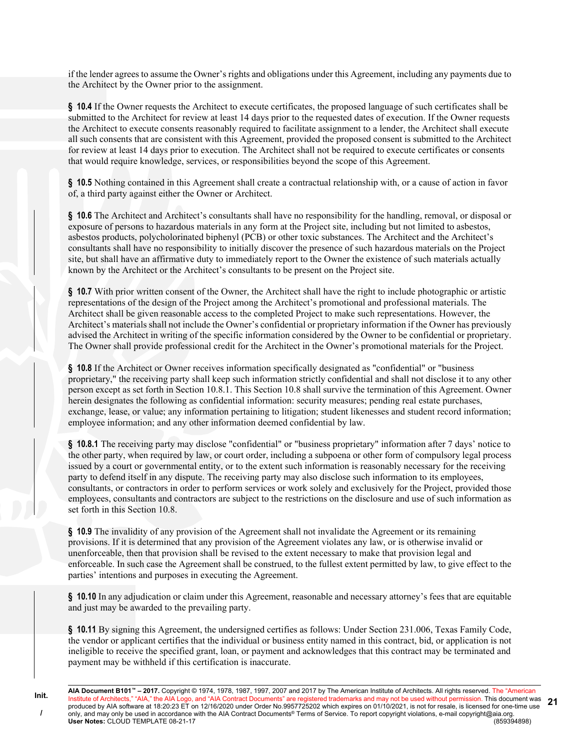if the lender agrees to assume the Owner's rights and obligations under this Agreement, including any payments due to the Architect by the Owner prior to the assignment.

**§ 10.4** If the Owner requests the Architect to execute certificates, the proposed language of such certificates shall be submitted to the Architect for review at least 14 days prior to the requested dates of execution. If the Owner requests the Architect to execute consents reasonably required to facilitate assignment to a lender, the Architect shall execute all such consents that are consistent with this Agreement, provided the proposed consent is submitted to the Architect for review at least 14 days prior to execution. The Architect shall not be required to execute certificates or consents that would require knowledge, services, or responsibilities beyond the scope of this Agreement.

**§ 10.5** Nothing contained in this Agreement shall create a contractual relationship with, or a cause of action in favor of, a third party against either the Owner or Architect.

**§ 10.6** The Architect and Architect's consultants shall have no responsibility for the handling, removal, or disposal or exposure of persons to hazardous materials in any form at the Project site, including but not limited to asbestos, asbestos products, polycholorinated biphenyl (PCB) or other toxic substances. The Architect and the Architect's consultants shall have no responsibility to initially discover the presence of such hazardous materials on the Project site, but shall have an affirmative duty to immediately report to the Owner the existence of such materials actually known by the Architect or the Architect's consultants to be present on the Project site.

**§ 10.7** With prior written consent of the Owner, the Architect shall have the right to include photographic or artistic representations of the design of the Project among the Architect's promotional and professional materials. The Architect shall be given reasonable access to the completed Project to make such representations. However, the Architect's materials shall not include the Owner's confidential or proprietary information if the Owner has previously advised the Architect in writing of the specific information considered by the Owner to be confidential or proprietary. The Owner shall provide professional credit for the Architect in the Owner's promotional materials for the Project.

**§ 10.8** If the Architect or Owner receives information specifically designated as "confidential" or "business proprietary," the receiving party shall keep such information strictly confidential and shall not disclose it to any other person except as set forth in Section 10.8.1. This Section 10.8 shall survive the termination of this Agreement. Owner herein designates the following as confidential information: security measures; pending real estate purchases, exchange, lease, or value; any information pertaining to litigation; student likenesses and student record information; employee information; and any other information deemed confidential by law.

**§ 10.8.1** The receiving party may disclose "confidential" or "business proprietary" information after 7 days' notice to the other party, when required by law, or court order, including a subpoena or other form of compulsory legal process issued by a court or governmental entity, or to the extent such information is reasonably necessary for the receiving party to defend itself in any dispute. The receiving party may also disclose such information to its employees, consultants, or contractors in order to perform services or work solely and exclusively for the Project, provided those employees, consultants and contractors are subject to the restrictions on the disclosure and use of such information as set forth in this Section 10.8.

**§ 10.9** The invalidity of any provision of the Agreement shall not invalidate the Agreement or its remaining provisions. If it is determined that any provision of the Agreement violates any law, or is otherwise invalid or unenforceable, then that provision shall be revised to the extent necessary to make that provision legal and enforceable. In such case the Agreement shall be construed, to the fullest extent permitted by law, to give effect to the parties' intentions and purposes in executing the Agreement.

**§ 10.10** In any adjudication or claim under this Agreement, reasonable and necessary attorney's fees that are equitable and just may be awarded to the prevailing party.

**§ 10.11** By signing this Agreement, the undersigned certifies as follows: Under Section 231.006, Texas Family Code, the vendor or applicant certifies that the individual or business entity named in this contract, bid, or application is not ineligible to receive the specified grant, loan, or payment and acknowledges that this contract may be terminated and payment may be withheld if this certification is inaccurate.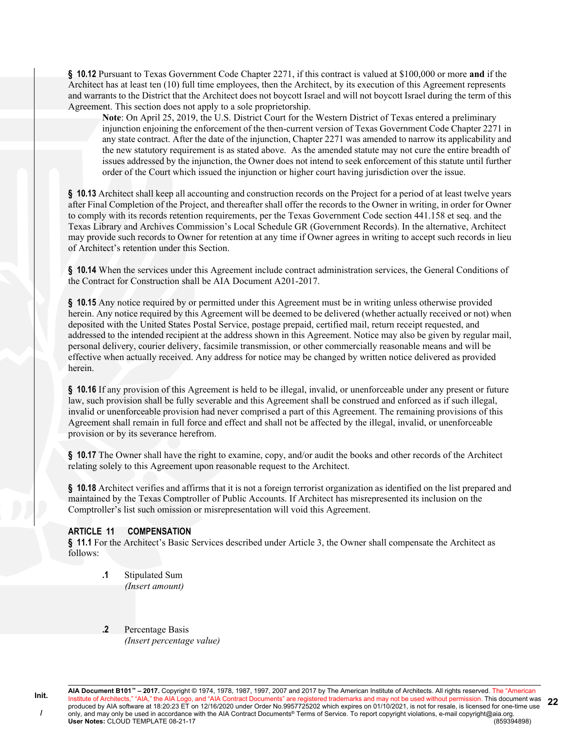**§ 10.12** Pursuant to Texas Government Code Chapter 2271, if this contract is valued at \$100,000 or more **and** if the Architect has at least ten (10) full time employees, then the Architect, by its execution of this Agreement represents and warrants to the District that the Architect does not boycott Israel and will not boycott Israel during the term of this Agreement. This section does not apply to a sole proprietorship.

**Note**: On April 25, 2019, the U.S. District Court for the Western District of Texas entered a preliminary injunction enjoining the enforcement of the then-current version of Texas Government Code Chapter 2271 in any state contract. After the date of the injunction, Chapter 2271 was amended to narrow its applicability and the new statutory requirement is as stated above. As the amended statute may not cure the entire breadth of issues addressed by the injunction, the Owner does not intend to seek enforcement of this statute until further order of the Court which issued the injunction or higher court having jurisdiction over the issue.

**§ 10.13** Architect shall keep all accounting and construction records on the Project for a period of at least twelve years after Final Completion of the Project, and thereafter shall offer the records to the Owner in writing, in order for Owner to comply with its records retention requirements, per the Texas Government Code section 441.158 et seq. and the Texas Library and Archives Commission's Local Schedule GR (Government Records). In the alternative, Architect may provide such records to Owner for retention at any time if Owner agrees in writing to accept such records in lieu of Architect's retention under this Section.

**§ 10.14** When the services under this Agreement include contract administration services, the General Conditions of the Contract for Construction shall be AIA Document A201-2017.

§ 10.15 Any notice required by or permitted under this Agreement must be in writing unless otherwise provided herein. Any notice required by this Agreement will be deemed to be delivered (whether actually received or not) when deposited with the United States Postal Service, postage prepaid, certified mail, return receipt requested, and addressed to the intended recipient at the address shown in this Agreement. Notice may also be given by regular mail, personal delivery, courier delivery, facsimile transmission, or other commercially reasonable means and will be effective when actually received. Any address for notice may be changed by written notice delivered as provided herein.

**§ 10.16** If any provision of this Agreement is held to be illegal, invalid, or unenforceable under any present or future law, such provision shall be fully severable and this Agreement shall be construed and enforced as if such illegal, invalid or unenforceable provision had never comprised a part of this Agreement. The remaining provisions of this Agreement shall remain in full force and effect and shall not be affected by the illegal, invalid, or unenforceable provision or by its severance herefrom.

**§ 10.17** The Owner shall have the right to examine, copy, and/or audit the books and other records of the Architect relating solely to this Agreement upon reasonable request to the Architect.

**§ 10.18** Architect verifies and affirms that it is not a foreign terrorist organization as identified on the list prepared and maintained by the Texas Comptroller of Public Accounts. If Architect has misrepresented its inclusion on the Comptroller's list such omission or misrepresentation will void this Agreement.

### **ARTICLE 11 COMPENSATION**

**§ 11.1** For the Architect's Basic Services described under Article 3, the Owner shall compensate the Architect as follows:

- **.1** Stipulated Sum *(Insert amount)*
- **.2** Percentage Basis *(Insert percentage value)*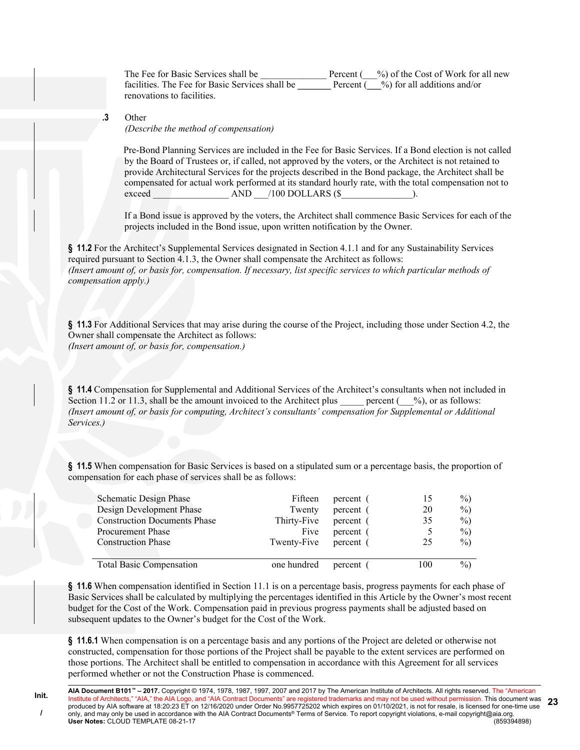The Fee for Basic Services shall be \_\_\_\_\_\_\_\_\_\_\_\_\_\_\_\_\_Percent (\_\_%) of the Cost of Work for all new facilities. The Fee for Basic Services shall be **Percent** ( $\frac{6}{8}$ ) for all additions and/or renovations to facilities.

#### **.3** Other

*(Describe the method of compensation)*

Pre-Bond Planning Services are included in the Fee for Basic Services. If a Bond election is not called by the Board of Trustees or, if called, not approved by the voters, or the Architect is not retained to provide Architectural Services for the projects described in the Bond package, the Architect shall be compensated for actual work performed at its standard hourly rate, with the total compensation not to exceed AND /100 DOLLARS (\$

If a Bond issue is approved by the voters, the Architect shall commence Basic Services for each of the projects included in the Bond issue, upon written notification by the Owner.

**§ 11.2** For the Architect's Supplemental Services designated in Section 4.1.1 and for any Sustainability Services required pursuant to Section 4.1.3, the Owner shall compensate the Architect as follows: *(Insert amount of, or basis for, compensation. If necessary, list specific services to which particular methods of compensation apply.)*

**§ 11.3** For Additional Services that may arise during the course of the Project, including those under Section 4.2, the Owner shall compensate the Architect as follows: *(Insert amount of, or basis for, compensation.)*

**§ 11.4** Compensation for Supplemental and Additional Services of the Architect's consultants when not included in Section 11.2 or 11.3, shall be the amount invoiced to the Architect plus energent ( $\%$ ), or as follows: *(Insert amount of, or basis for computing, Architect's consultants' compensation for Supplemental or Additional Services.)*

**§ 11.5** When compensation for Basic Services is based on a stipulated sum or a percentage basis, the proportion of compensation for each phase of services shall be as follows:

| <b>Schematic Design Phase</b><br>Design Development Phase | Fifteen<br>Twenty     | percent (<br>percent ( | 15<br>20 | $\%$ )<br>$\%$ |
|-----------------------------------------------------------|-----------------------|------------------------|----------|----------------|
| <b>Construction Documents Phase</b>                       | Thirty-Five           | percent (              | 35       | $\%$           |
| <b>Procurement Phase</b>                                  | Five                  | percent (              |          | $\%$           |
| <b>Construction Phase</b>                                 | Twenty-Five percent ( |                        | 25       | $\%$           |
| <b>Total Basic Compensation</b>                           | one hundred           | percent (              | 100      | $\%$           |

**§ 11.6** When compensation identified in Section 11.1 is on a percentage basis, progress payments for each phase of Basic Services shall be calculated by multiplying the percentages identified in this Article by the Owner's most recent budget for the Cost of the Work. Compensation paid in previous progress payments shall be adjusted based on subsequent updates to the Owner's budget for the Cost of the Work.

**§ 11.6.1** When compensation is on a percentage basis and any portions of the Project are deleted or otherwise not constructed, compensation for those portions of the Project shall be payable to the extent services are performed on those portions. The Architect shall be entitled to compensation in accordance with this Agreement for all services performed whether or not the Construction Phase is commenced.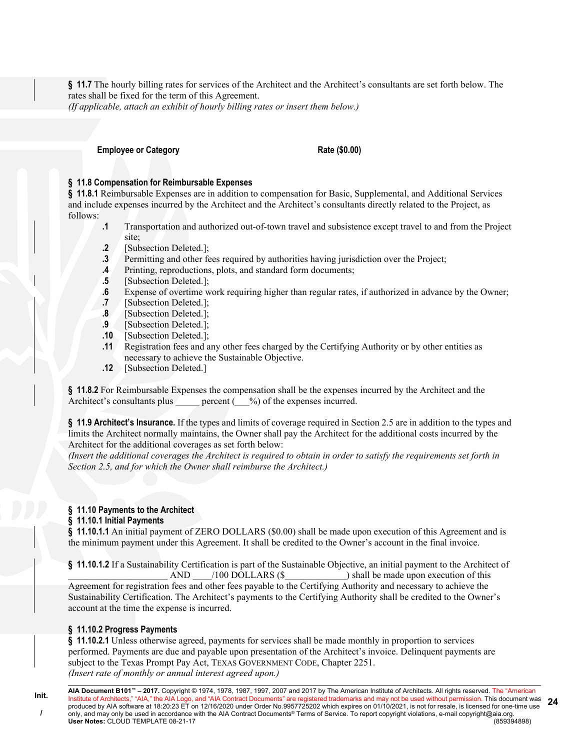**§ 11.7** The hourly billing rates for services of the Architect and the Architect's consultants are set forth below. The rates shall be fixed for the term of this Agreement.

*(If applicable, attach an exhibit of hourly billing rates or insert them below.)*

**Employee or Category Rate (\$0.00)** 

# **§ 11.8 Compensation for Reimbursable Expenses**

**§ 11.8.1** Reimbursable Expenses are in addition to compensation for Basic, Supplemental, and Additional Services and include expenses incurred by the Architect and the Architect's consultants directly related to the Project, as follows:

- **.1** Transportation and authorized out-of-town travel and subsistence except travel to and from the Project site;
- **.2** [Subsection Deleted.];
- **.3** Permitting and other fees required by authorities having jurisdiction over the Project;
- **.4** Printing, reproductions, plots, and standard form documents;
- **.5** [Subsection Deleted.];
- **.6** Expense of overtime work requiring higher than regular rates, if authorized in advance by the Owner;
- **.7** [Subsection Deleted.];
- **.8** [Subsection Deleted.];
- **.9** [Subsection Deleted.];
- **.10** [Subsection Deleted.];
- **.11** Registration fees and any other fees charged by the Certifying Authority or by other entities as necessary to achieve the Sustainable Objective.
- **.12** [Subsection Deleted.]

**§ 11.8.2** For Reimbursable Expenses the compensation shall be the expenses incurred by the Architect and the Architect's consultants plus  $\qquad \qquad \text{percent} \, (\qquad \%) \text{ of the expenses incurred.}$ 

**§ 11.9 Architect's Insurance.** If the types and limits of coverage required in Section 2.5 are in addition to the types and limits the Architect normally maintains, the Owner shall pay the Architect for the additional costs incurred by the Architect for the additional coverages as set forth below:

*(Insert the additional coverages the Architect is required to obtain in order to satisfy the requirements set forth in Section 2.5, and for which the Owner shall reimburse the Architect.)*

#### **§ 11.10 Payments to the Architect**

### **§ 11.10.1 Initial Payments**

**§ 11.10.1.1** An initial payment of ZERO DOLLARS (\$0.00) shall be made upon execution of this Agreement and is the minimum payment under this Agreement. It shall be credited to the Owner's account in the final invoice.

**§ 11.10.1.2** If a Sustainability Certification is part of the Sustainable Objective, an initial payment to the Architect of  $AND$  /100 DOLLARS (\$) shall be made upon execution of this Agreement for registration fees and other fees payable to the Certifying Authority and necessary to achieve the Sustainability Certification. The Architect's payments to the Certifying Authority shall be credited to the Owner's account at the time the expense is incurred.

### **§ 11.10.2 Progress Payments**

**§ 11.10.2.1** Unless otherwise agreed, payments for services shall be made monthly in proportion to services performed. Payments are due and payable upon presentation of the Architect's invoice. Delinquent payments are subject to the Texas Prompt Pay Act, TEXAS GOVERNMENT CODE, Chapter 2251. *(Insert rate of monthly or annual interest agreed upon.)*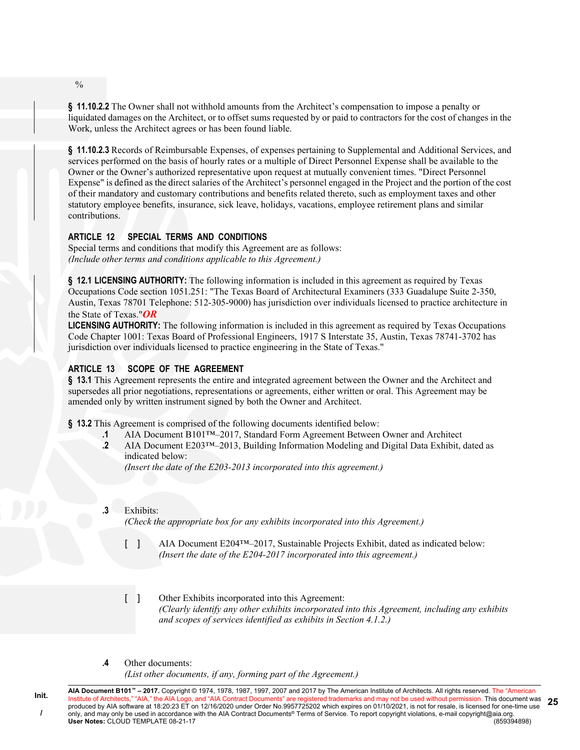**§ 11.10.2.2** The Owner shall not withhold amounts from the Architect's compensation to impose a penalty or liquidated damages on the Architect, or to offset sums requested by or paid to contractors for the cost of changes in the Work, unless the Architect agrees or has been found liable.

**§ 11.10.2.3** Records of Reimbursable Expenses, of expenses pertaining to Supplemental and Additional Services, and services performed on the basis of hourly rates or a multiple of Direct Personnel Expense shall be available to the Owner or the Owner's authorized representative upon request at mutually convenient times. "Direct Personnel Expense" is defined as the direct salaries of the Architect's personnel engaged in the Project and the portion of the cost of their mandatory and customary contributions and benefits related thereto, such as employment taxes and other statutory employee benefits, insurance, sick leave, holidays, vacations, employee retirement plans and similar contributions.

# **ARTICLE 12 SPECIAL TERMS AND CONDITIONS**

Special terms and conditions that modify this Agreement are as follows: *(Include other terms and conditions applicable to this Agreement.)*

**§ 12.1 LICENSING AUTHORITY:** The following information is included in this agreement as required by Texas Occupations Code section 1051.251: "The Texas Board of Architectural Examiners (333 Guadalupe Suite 2-350, Austin, Texas 78701 Telephone: 512-305-9000) has jurisdiction over individuals licensed to practice architecture in the State of Texas."*OR*

**LICENSING AUTHORITY:** The following information is included in this agreement as required by Texas Occupations Code Chapter 1001: Texas Board of Professional Engineers, 1917 S Interstate 35, Austin, Texas 78741-3702 has jurisdiction over individuals licensed to practice engineering in the State of Texas."

# **ARTICLE 13 SCOPE OF THE AGREEMENT**

**§ 13.1** This Agreement represents the entire and integrated agreement between the Owner and the Architect and supersedes all prior negotiations, representations or agreements, either written or oral. This Agreement may be amended only by written instrument signed by both the Owner and Architect.

**§ 13.2** This Agreement is comprised of the following documents identified below:

- **.1** AIA Document B101™–2017, Standard Form Agreement Between Owner and Architect
- **.2** AIA Document E203™–2013, Building Information Modeling and Digital Data Exhibit, dated as indicated below:

*(Insert the date of the E203-2013 incorporated into this agreement.)*

**.3** Exhibits:

*(Check the appropriate box for any exhibits incorporated into this Agreement.)*

- [ ] AIA Document E204™–2017, Sustainable Projects Exhibit, dated as indicated below: *(Insert the date of the E204-2017 incorporated into this agreement.)*
- [ ] Other Exhibits incorporated into this Agreement: *(Clearly identify any other exhibits incorporated into this Agreement, including any exhibits and scopes of services identified as exhibits in Section 4.1.2.)*
- **.4** Other documents:

*(List other documents, if any, forming part of the Agreement.)*

**AIA Document B101™ – 2017.** Copyright © 1974, 1978, 1987, 1997, 2007 and 2017 by The American Institute of Architects. All rights reserved. The "American Institute of Architects," "AIA," the AIA Logo, and "AIA Contract Documents" are registered trademarks and may not be used without permission. This document was produced by AIA software at 18:20:23 ET on 12/16/2020 under Order No.9957725202 which expires on 01/10/2021, is not for resale, is licensed for one-time use only, and may only be used in accordance with the AIA Contract Documents® Terms of Service. To report copyright violations, e-mail copyright@aia.org.<br>User Notes: CLOUD TEMPLATE 08-21-17 **User Notes: CLOUD TEMPLATE 08-21-17 25**

 $\frac{0}{0}$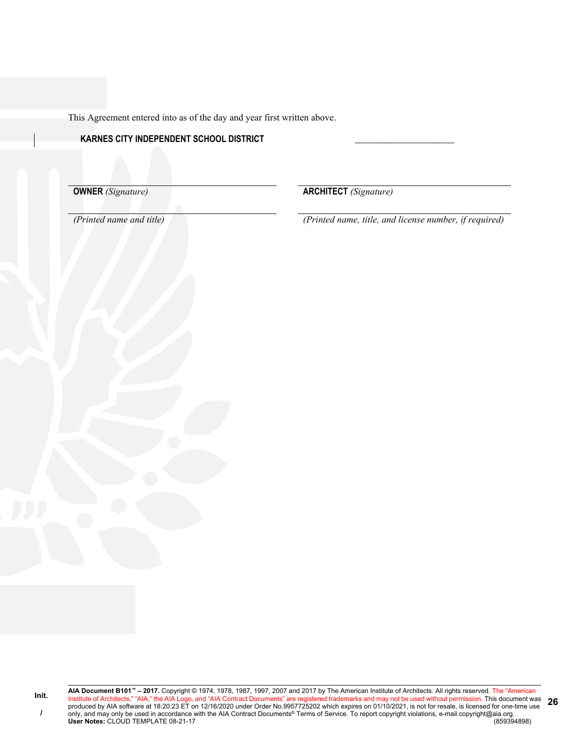This Agreement entered into as of the day and year first written above.

# **KARNES CITY INDEPENDENT SCHOOL DISTRICT \_\_\_\_\_\_\_\_\_\_\_\_\_\_\_\_\_\_\_\_\_\_\_**

**OWNER** *(Signature)* **ARCHITECT** *(Signature)* 

*(Printed name and title) (Printed name, title, and license number, if required)*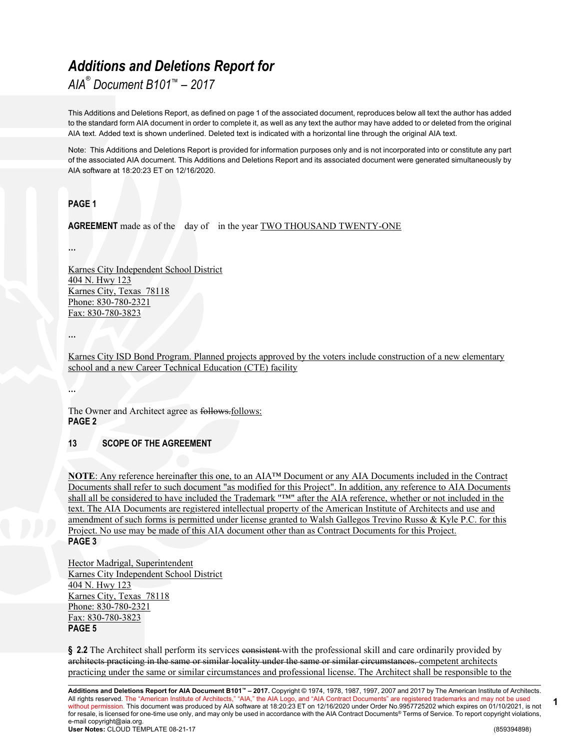# *Additions and Deletions Report for*

*AIA® Document B101™ – 2017*

This Additions and Deletions Report, as defined on page 1 of the associated document, reproduces below all text the author has added to the standard form AIA document in order to complete it, as well as any text the author may have added to or deleted from the original AIA text. Added text is shown underlined. Deleted text is indicated with a horizontal line through the original AIA text.

Note: This Additions and Deletions Report is provided for information purposes only and is not incorporated into or constitute any part of the associated AIA document. This Additions and Deletions Report and its associated document were generated simultaneously by AIA software at 18:20:23 ET on 12/16/2020.

# **PAGE 1**

**AGREEMENT** made as of the day of in the year TWO THOUSAND TWENTY-ONE

**…**

Karnes City Independent School District 404 N. Hwy 123 Karnes City, Texas 78118 Phone: 830-780-2321 Fax: 830-780-3823

**…**

Karnes City ISD Bond Program. Planned projects approved by the voters include construction of a new elementary school and a new Career Technical Education (CTE) facility

**…**

The Owner and Architect agree as follows.follows: **PAGE 2**

# **13 SCOPE OF THE AGREEMENT**

**NOTE**: Any reference hereinafter this one, to an AIA™ Document or any AIA Documents included in the Contract Documents shall refer to such document "as modified for this Project". In addition, any reference to AIA Documents shall all be considered to have included the Trademark "™" after the AIA reference, whether or not included in the text. The AIA Documents are registered intellectual property of the American Institute of Architects and use and amendment of such forms is permitted under license granted to Walsh Gallegos Trevino Russo & Kyle P.C. for this Project. No use may be made of this AIA document other than as Contract Documents for this Project. **PAGE 3**

Hector Madrigal, Superintendent Karnes City Independent School District 404 N. Hwy 123 Karnes City, Texas 78118 Phone: 830-780-2321 Fax: 830-780-3823 **PAGE 5**

**§ 2.2** The Architect shall perform its services consistent with the professional skill and care ordinarily provided by architects practicing in the same or similar locality under the same or similar circumstances. competent architects practicing under the same or similar circumstances and professional license. The Architect shall be responsible to the

**Additions and Deletions Report for AIA Document B101™ – 2017.** Copyright © 1974, 1978, 1987, 1997, 2007 and 2017 by The American Institute of Architects. All rights reserved. The "American Institute of Architects," "AIA," the AIA Logo, and "AIA Contract Documents" are registered trademarks and may not be used without permission. This document was produced by AIA software at 18:20:23 ET on 12/16/2020 under Order No.9957725202 which expires on 01/10/2021, is not for resale, is licensed for one-time use only, and may only be used in accordance with the AIA Contract Documents® Terms of Service. To report copyright violations, e-mail copyright@aia.org. **User Notes:** CLOUD TEMPLATE 08-21-17 (859394898)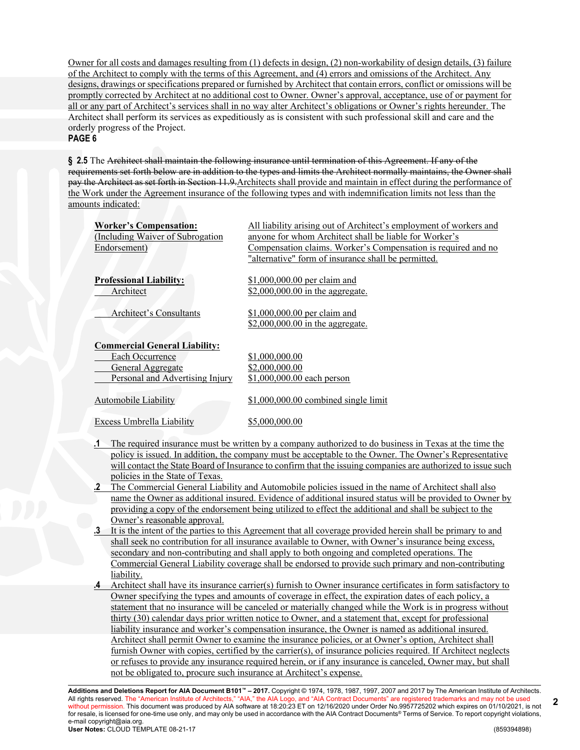Owner for all costs and damages resulting from (1) defects in design, (2) non-workability of design details, (3) failure of the Architect to comply with the terms of this Agreement, and (4) errors and omissions of the Architect. Any designs, drawings or specifications prepared or furnished by Architect that contain errors, conflict or omissions will be promptly corrected by Architect at no additional cost to Owner. Owner's approval, acceptance, use of or payment for all or any part of Architect's services shall in no way alter Architect's obligations or Owner's rights hereunder. The Architect shall perform its services as expeditiously as is consistent with such professional skill and care and the orderly progress of the Project.

#### **PAGE 6**

**§ 2.5** The Architect shall maintain the following insurance until termination of this Agreement. If any of the requirements set forth below are in addition to the types and limits the Architect normally maintains, the Owner shall pay the Architect as set forth in Section 11.9.Architects shall provide and maintain in effect during the performance of the Work under the Agreement insurance of the following types and with indemnification limits not less than the amounts indicated:

| <b>Worker's Compensation:</b><br>(Including Waiver of Subrogation)<br>Endorsement)                              | All liability arising out of Architect's employment of workers and<br>anyone for whom Architect shall be liable for Worker's<br>Compensation claims. Worker's Compensation is required and no<br>"alternative" form of insurance shall be permitted. |
|-----------------------------------------------------------------------------------------------------------------|------------------------------------------------------------------------------------------------------------------------------------------------------------------------------------------------------------------------------------------------------|
| <b>Professional Liability:</b><br>Architect                                                                     | \$1,000,000.00 per claim and<br>\$2,000,000.00 in the aggregate.                                                                                                                                                                                     |
| Architect's Consultants                                                                                         | \$1,000,000.00 per claim and<br>\$2,000,000.00 in the aggregate.                                                                                                                                                                                     |
| <b>Commercial General Liability:</b><br>Each Occurrence<br>General Aggregate<br>Personal and Advertising Injury | \$1,000,000.00<br>\$2,000,000.00<br>\$1,000,000.00 each person                                                                                                                                                                                       |
| Automobile Liability                                                                                            | $$1,000,000.00$ combined single limit                                                                                                                                                                                                                |
| Excess Umbrella Liability                                                                                       | \$5,000,000.00                                                                                                                                                                                                                                       |

- **.1** The required insurance must be written by a company authorized to do business in Texas at the time the policy is issued. In addition, the company must be acceptable to the Owner. The Owner's Representative will contact the State Board of Insurance to confirm that the issuing companies are authorized to issue such policies in the State of Texas.
- **.2** The Commercial General Liability and Automobile policies issued in the name of Architect shall also name the Owner as additional insured. Evidence of additional insured status will be provided to Owner by providing a copy of the endorsement being utilized to effect the additional and shall be subject to the Owner's reasonable approval.
- **.3** It is the intent of the parties to this Agreement that all coverage provided herein shall be primary to and shall seek no contribution for all insurance available to Owner, with Owner's insurance being excess, secondary and non-contributing and shall apply to both ongoing and completed operations. The Commercial General Liability coverage shall be endorsed to provide such primary and non-contributing liability.
- **.4** Architect shall have its insurance carrier(s) furnish to Owner insurance certificates in form satisfactory to Owner specifying the types and amounts of coverage in effect, the expiration dates of each policy, a statement that no insurance will be canceled or materially changed while the Work is in progress without thirty (30) calendar days prior written notice to Owner, and a statement that, except for professional liability insurance and worker's compensation insurance, the Owner is named as additional insured. Architect shall permit Owner to examine the insurance policies, or at Owner's option, Architect shall furnish Owner with copies, certified by the carrier(s), of insurance policies required. If Architect neglects or refuses to provide any insurance required herein, or if any insurance is canceled, Owner may, but shall not be obligated to, procure such insurance at Architect's expense.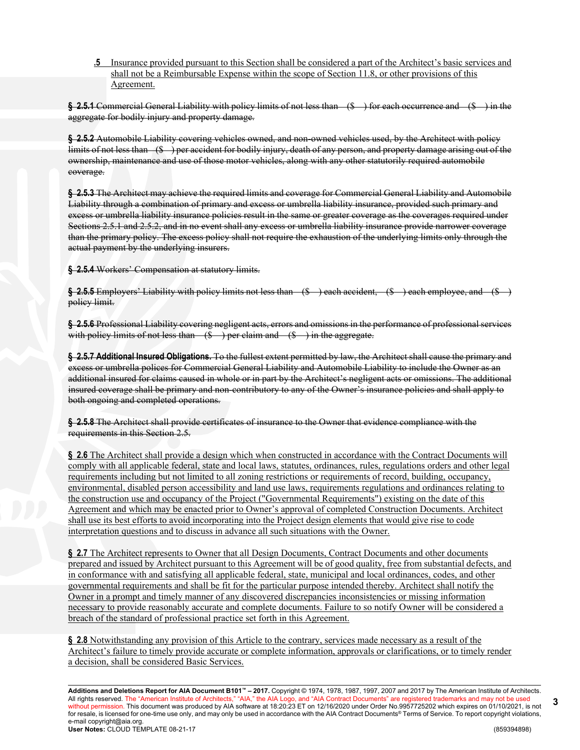**.5** Insurance provided pursuant to this Section shall be considered a part of the Architect's basic services and shall not be a Reimbursable Expense within the scope of Section 11.8, or other provisions of this Agreement.

**§ 2.5.1** Commercial General Liability with policy limits of not less than (\$ ) for each occurrence and (\$ ) in the aggregate for bodily injury and property damage.

**§ 2.5.2** Automobile Liability covering vehicles owned, and non-owned vehicles used, by the Architect with policy limits of not less than (\$ ) per accident for bodily injury, death of any person, and property damage arising out of the ownership, maintenance and use of those motor vehicles, along with any other statutorily required automobile coverage.

**§ 2.5.3** The Architect may achieve the required limits and coverage for Commercial General Liability and Automobile Liability through a combination of primary and excess or umbrella liability insurance, provided such primary and excess or umbrella liability insurance policies result in the same or greater coverage as the coverages required under Sections 2.5.1 and 2.5.2, and in no event shall any excess or umbrella liability insurance provide narrower coverage than the primary policy. The excess policy shall not require the exhaustion of the underlying limits only through the actual payment by the underlying insurers.

**§ 2.5.4** Workers' Compensation at statutory limits.

**§ 2.5.5** Employers' Liability with policy limits not less than (\$ ) each accident, (\$ ) each employee, and (\$ ) policy limit.

**§ 2.5.6** Professional Liability covering negligent acts, errors and omissions in the performance of professional services with policy limits of not less than  $(\text{\$})$  per claim and  $(\text{\$})$  in the aggregate.

**§ 2.5.7 Additional Insured Obligations.** To the fullest extent permitted by law, the Architect shall cause the primary and excess or umbrella polices for Commercial General Liability and Automobile Liability to include the Owner as an additional insured for claims caused in whole or in part by the Architect's negligent acts or omissions. The additional insured coverage shall be primary and non-contributory to any of the Owner's insurance policies and shall apply to both ongoing and completed operations.

**§ 2.5.8** The Architect shall provide certificates of insurance to the Owner that evidence compliance with the requirements in this Section 2.5.

**§ 2.6** The Architect shall provide a design which when constructed in accordance with the Contract Documents will comply with all applicable federal, state and local laws, statutes, ordinances, rules, regulations orders and other legal requirements including but not limited to all zoning restrictions or requirements of record, building, occupancy, environmental, disabled person accessibility and land use laws, requirements regulations and ordinances relating to the construction use and occupancy of the Project ("Governmental Requirements") existing on the date of this Agreement and which may be enacted prior to Owner's approval of completed Construction Documents. Architect shall use its best efforts to avoid incorporating into the Project design elements that would give rise to code interpretation questions and to discuss in advance all such situations with the Owner.

§ 2.7 The Architect represents to Owner that all Design Documents, Contract Documents and other documents prepared and issued by Architect pursuant to this Agreement will be of good quality, free from substantial defects, and in conformance with and satisfying all applicable federal, state, municipal and local ordinances, codes, and other governmental requirements and shall be fit for the particular purpose intended thereby. Architect shall notify the Owner in a prompt and timely manner of any discovered discrepancies inconsistencies or missing information necessary to provide reasonably accurate and complete documents. Failure to so notify Owner will be considered a breach of the standard of professional practice set forth in this Agreement.

**§ 2.8** Notwithstanding any provision of this Article to the contrary, services made necessary as a result of the Architect's failure to timely provide accurate or complete information, approvals or clarifications, or to timely render a decision, shall be considered Basic Services.

**Additions and Deletions Report for AIA Document B101™ – 2017.** Copyright © 1974, 1978, 1987, 1997, 2007 and 2017 by The American Institute of Architects. All rights reserved. The "American Institute of Architects," "AIA," the AIA Logo, and "AIA Contract Documents" are registered trademarks and may not be used without permission. This document was produced by AIA software at 18:20:23 ET on 12/16/2020 under Order No.9957725202 which expires on 01/10/2021, is not for resale, is licensed for one-time use only, and may only be used in accordance with the AIA Contract Documents® Terms of Service. To report copyright violations, e-mail copyright@aia.org. **User Notes:** CLOUD TEMPLATE 08-21-17 (859394898)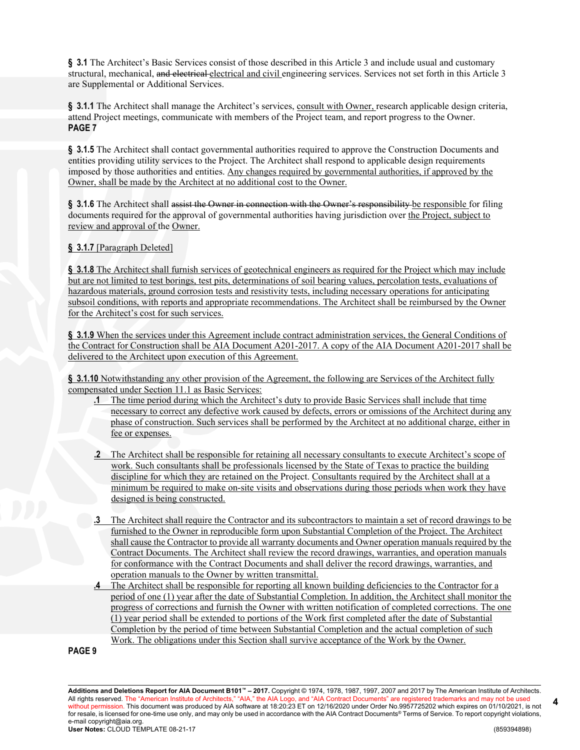**§ 3.1** The Architect's Basic Services consist of those described in this Article 3 and include usual and customary structural, mechanical, and electrical electrical and civil engineering services. Services not set forth in this Article 3 are Supplemental or Additional Services.

§ 3.1.1 The Architect shall manage the Architect's services, consult with Owner, research applicable design criteria, attend Project meetings, communicate with members of the Project team, and report progress to the Owner. **PAGE 7**

**§ 3.1.5** The Architect shall contact governmental authorities required to approve the Construction Documents and entities providing utility services to the Project. The Architect shall respond to applicable design requirements imposed by those authorities and entities. Any changes required by governmental authorities, if approved by the Owner, shall be made by the Architect at no additional cost to the Owner.

§ 3.1.6 The Architect shall assist the Owner in connection with the Owner's responsibility be responsible for filing documents required for the approval of governmental authorities having jurisdiction over the Project, subject to review and approval of the Owner.

# **§ 3.1.7** [Paragraph Deleted]

**§ 3.1.8** The Architect shall furnish services of geotechnical engineers as required for the Project which may include but are not limited to test borings, test pits, determinations of soil bearing values, percolation tests, evaluations of hazardous materials, ground corrosion tests and resistivity tests, including necessary operations for anticipating subsoil conditions, with reports and appropriate recommendations. The Architect shall be reimbursed by the Owner for the Architect's cost for such services.

**§ 3.1.9** When the services under this Agreement include contract administration services, the General Conditions of the Contract for Construction shall be AIA Document A201-2017. A copy of the AIA Document A201-2017 shall be delivered to the Architect upon execution of this Agreement.

**§ 3.1.10** Notwithstanding any other provision of the Agreement, the following are Services of the Architect fully compensated under Section 11.1 as Basic Services:

- **.1** The time period during which the Architect's duty to provide Basic Services shall include that time necessary to correct any defective work caused by defects, errors or omissions of the Architect during any phase of construction. Such services shall be performed by the Architect at no additional charge, either in fee or expenses.
- **.2** The Architect shall be responsible for retaining all necessary consultants to execute Architect's scope of work. Such consultants shall be professionals licensed by the State of Texas to practice the building discipline for which they are retained on the Project. Consultants required by the Architect shall at a minimum be required to make on-site visits and observations during those periods when work they have designed is being constructed.
- **.3** The Architect shall require the Contractor and its subcontractors to maintain a set of record drawings to be furnished to the Owner in reproducible form upon Substantial Completion of the Project. The Architect shall cause the Contractor to provide all warranty documents and Owner operation manuals required by the Contract Documents. The Architect shall review the record drawings, warranties, and operation manuals for conformance with the Contract Documents and shall deliver the record drawings, warranties, and operation manuals to the Owner by written transmittal.
- **.4** The Architect shall be responsible for reporting all known building deficiencies to the Contractor for a period of one (1) year after the date of Substantial Completion. In addition, the Architect shall monitor the progress of corrections and furnish the Owner with written notification of completed corrections. The one (1) year period shall be extended to portions of the Work first completed after the date of Substantial Completion by the period of time between Substantial Completion and the actual completion of such Work. The obligations under this Section shall survive acceptance of the Work by the Owner.

**PAGE 9**

**Additions and Deletions Report for AIA Document B101™ – 2017.** Copyright © 1974, 1978, 1987, 1997, 2007 and 2017 by The American Institute of Architects. All rights reserved. The "American Institute of Architects," "AIA," the AIA Logo, and "AIA Contract Documents" are registered trademarks and may not be used without permission. This document was produced by AIA software at 18:20:23 ET on 12/16/2020 under Order No.9957725202 which expires on 01/10/2021, is not for resale, is licensed for one-time use only, and may only be used in accordance with the AIA Contract Documents® Terms of Service. To report copyright violations, e-mail copyright@aia.org. **User Notes:** CLOUD TEMPLATE 08-21-17 (859394898)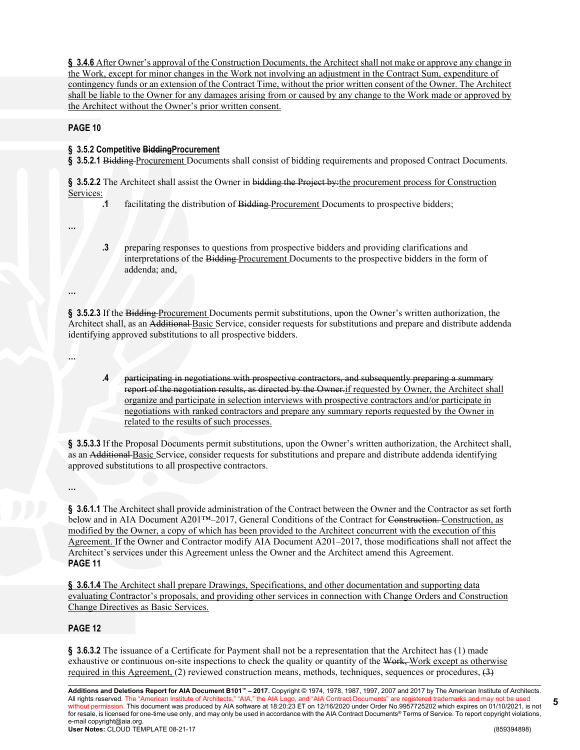**§ 3.4.6** After Owner's approval of the Construction Documents, the Architect shall not make or approve any change in the Work, except for minor changes in the Work not involving an adjustment in the Contract Sum, expenditure of contingency funds or an extension of the Contract Time, without the prior written consent of the Owner. The Architect shall be liable to the Owner for any damages arising from or caused by any change to the Work made or approved by the Architect without the Owner's prior written consent.

**PAGE 10**

# **§ 3.5.2 Competitive BiddingProcurement**

**§ 3.5.2.1** Bidding Procurement Documents shall consist of bidding requirements and proposed Contract Documents.

**§ 3.5.2.2** The Architect shall assist the Owner in bidding the Project by:the procurement process for Construction Services:

**.1** facilitating the distribution of Bidding Procurement Documents to prospective bidders;

**…**

**…**

**…**

**.3** preparing responses to questions from prospective bidders and providing clarifications and interpretations of the Bidding Procurement Documents to the prospective bidders in the form of addenda; and,

**§ 3.5.2.3** If the Bidding Procurement Documents permit substitutions, upon the Owner's written authorization, the Architect shall, as an Additional Basic Service, consider requests for substitutions and prepare and distribute addenda identifying approved substitutions to all prospective bidders.

**.4** participating in negotiations with prospective contractors, and subsequently preparing a summary report of the negotiation results, as directed by the Owner.if requested by Owner, the Architect shall organize and participate in selection interviews with prospective contractors and/or participate in negotiations with ranked contractors and prepare any summary reports requested by the Owner in related to the results of such processes.

**§ 3.5.3.3** If the Proposal Documents permit substitutions, upon the Owner's written authorization, the Architect shall, as an Additional Basic Service, consider requests for substitutions and prepare and distribute addenda identifying approved substitutions to all prospective contractors.

**…**

**§ 3.6.1.1** The Architect shall provide administration of the Contract between the Owner and the Contractor as set forth below and in AIA Document A201™–2017, General Conditions of the Contract for Construction. Construction, as modified by the Owner, a copy of which has been provided to the Architect concurrent with the execution of this Agreement. If the Owner and Contractor modify AIA Document A201–2017, those modifications shall not affect the Architect's services under this Agreement unless the Owner and the Architect amend this Agreement. **PAGE 11**

**§ 3.6.1.4** The Architect shall prepare Drawings, Specifications, and other documentation and supporting data evaluating Contractor's proposals, and providing other services in connection with Change Orders and Construction Change Directives as Basic Services.

# **PAGE 12**

**§ 3.6.3.2** The issuance of a Certificate for Payment shall not be a representation that the Architect has (1) made exhaustive or continuous on-site inspections to check the quality or quantity of the Work, Work except as otherwise required in this Agreement, (2) reviewed construction means, methods, techniques, sequences or procedures, (3)

**Additions and Deletions Report for AIA Document B101™ – 2017.** Copyright © 1974, 1978, 1987, 1997, 2007 and 2017 by The American Institute of Architects. All rights reserved. The "American Institute of Architects," "AIA," the AIA Logo, and "AIA Contract Documents" are registered trademarks and may not be used without permission. This document was produced by AIA software at 18:20:23 ET on 12/16/2020 under Order No.9957725202 which expires on 01/10/2021, is not for resale, is licensed for one-time use only, and may only be used in accordance with the AIA Contract Documents® Terms of Service. To report copyright violations, e-mail copyright@aia.org. **User Notes:** CLOUD TEMPLATE 08-21-17 (859394898)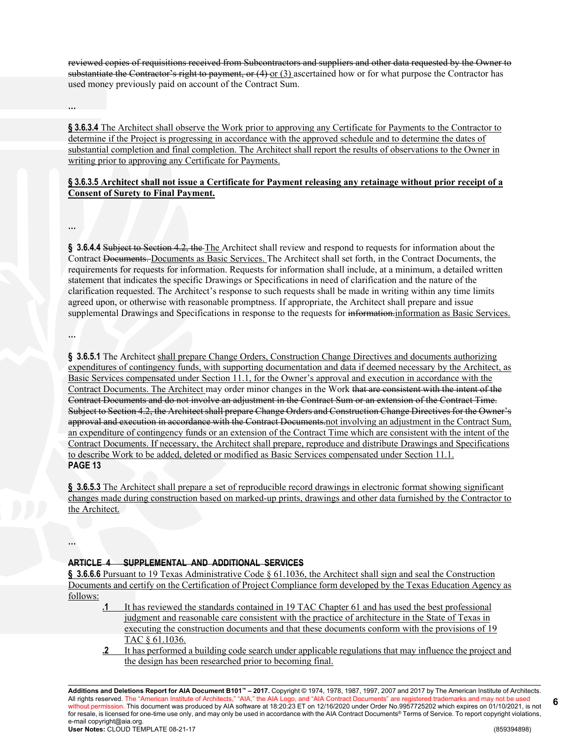reviewed copies of requisitions received from Subcontractors and suppliers and other data requested by the Owner to substantiate the Contractor's right to payment, or  $(4)$  or  $(3)$  ascertained how or for what purpose the Contractor has used money previously paid on account of the Contract Sum.

**…**

**§ 3.6.3.4** The Architect shall observe the Work prior to approving any Certificate for Payments to the Contractor to determine if the Project is progressing in accordance with the approved schedule and to determine the dates of substantial completion and final completion. The Architect shall report the results of observations to the Owner in writing prior to approving any Certificate for Payments.

# **§ 3.6.3.5 Architect shall not issue a Certificate for Payment releasing any retainage without prior receipt of a Consent of Surety to Final Payment.**

**…**

§ 3.6.4.4 Subject to Section 4.2, the The Architect shall review and respond to requests for information about the Contract Documents. Documents as Basic Services. The Architect shall set forth, in the Contract Documents, the requirements for requests for information. Requests for information shall include, at a minimum, a detailed written statement that indicates the specific Drawings or Specifications in need of clarification and the nature of the clarification requested. The Architect's response to such requests shall be made in writing within any time limits agreed upon, or otherwise with reasonable promptness. If appropriate, the Architect shall prepare and issue supplemental Drawings and Specifications in response to the requests for information-information as Basic Services.

**…**

**…**

**§ 3.6.5.1** The Architect shall prepare Change Orders, Construction Change Directives and documents authorizing expenditures of contingency funds, with supporting documentation and data if deemed necessary by the Architect, as Basic Services compensated under Section 11.1, for the Owner's approval and execution in accordance with the Contract Documents. The Architect may order minor changes in the Work that are consistent with the intent of the Contract Documents and do not involve an adjustment in the Contract Sum or an extension of the Contract Time. Subject to Section 4.2, the Architect shall prepare Change Orders and Construction Change Directives for the Owner's approval and execution in accordance with the Contract Documents.not involving an adjustment in the Contract Sum, an expenditure of contingency funds or an extension of the Contract Time which are consistent with the intent of the Contract Documents. If necessary, the Architect shall prepare, reproduce and distribute Drawings and Specifications to describe Work to be added, deleted or modified as Basic Services compensated under Section 11.1. **PAGE 13**

**§ 3.6.5.3** The Architect shall prepare a set of reproducible record drawings in electronic format showing significant changes made during construction based on marked-up prints, drawings and other data furnished by the Contractor to the Architect.

### **ARTICLE 4 SUPPLEMENTAL AND ADDITIONAL SERVICES**

**§ 3.6.6.6** Pursuant to 19 Texas Administrative Code § 61.1036, the Architect shall sign and seal the Construction Documents and certify on the Certification of Project Compliance form developed by the Texas Education Agency as follows:

- **.1** It has reviewed the standards contained in 19 TAC Chapter 61 and has used the best professional judgment and reasonable care consistent with the practice of architecture in the State of Texas in executing the construction documents and that these documents conform with the provisions of 19 TAC § 61.1036.
- **.2** It has performed a building code search under applicable regulations that may influence the project and the design has been researched prior to becoming final.

**Additions and Deletions Report for AIA Document B101™ – 2017.** Copyright © 1974, 1978, 1987, 1997, 2007 and 2017 by The American Institute of Architects. All rights reserved. The "American Institute of Architects," "AIA," the AIA Logo, and "AIA Contract Documents" are registered trademarks and may not be used without permission. This document was produced by AIA software at 18:20:23 ET on 12/16/2020 under Order No.9957725202 which expires on 01/10/2021, is not for resale, is licensed for one-time use only, and may only be used in accordance with the AIA Contract Documents® Terms of Service. To report copyright violations, e-mail copyright@aia.org. **User Notes:** CLOUD TEMPLATE 08-21-17 (859394898)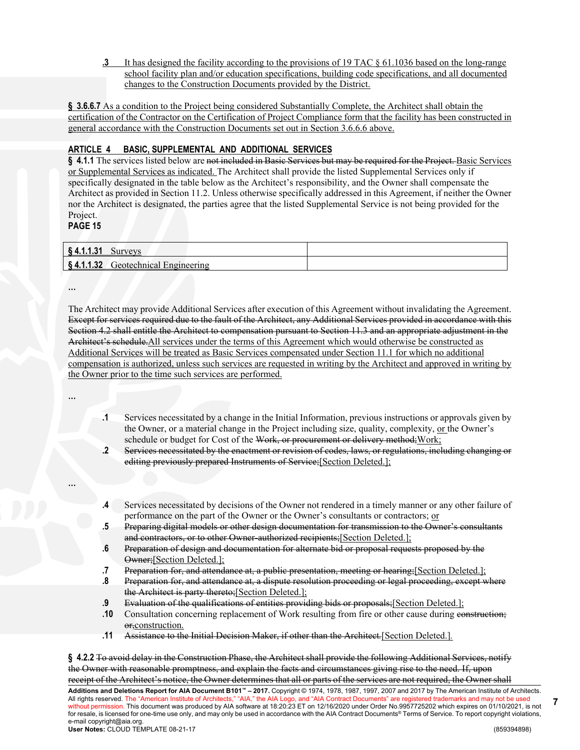**.3** It has designed the facility according to the provisions of 19 TAC § 61.1036 based on the long-range school facility plan and/or education specifications, building code specifications, and all documented changes to the Construction Documents provided by the District.

**§ 3.6.6.7** As a condition to the Project being considered Substantially Complete, the Architect shall obtain the certification of the Contractor on the Certification of Project Compliance form that the facility has been constructed in general accordance with the Construction Documents set out in Section 3.6.6.6 above.

# **ARTICLE 4 BASIC, SUPPLEMENTAL AND ADDITIONAL SERVICES**

§ 4.1.1 The services listed below are not included in Basic Services but may be required for the Project. Basic Services or Supplemental Services as indicated. The Architect shall provide the listed Supplemental Services only if specifically designated in the table below as the Architect's responsibility, and the Owner shall compensate the Architect as provided in Section 11.2. Unless otherwise specifically addressed in this Agreement, if neither the Owner nor the Architect is designated, the parties agree that the listed Supplemental Service is not being provided for the Project.

**PAGE 15**

| $\mathbf{A}$<br>3 THEFT | ⊍u⊥          |  |
|-------------------------|--------------|--|
| $811$<br>3 T. L. L      | reotechnical |  |

**…**

The Architect may provide Additional Services after execution of this Agreement without invalidating the Agreement. Except for services required due to the fault of the Architect, any Additional Services provided in accordance with this Section 4.2 shall entitle the Architect to compensation pursuant to Section 11.3 and an appropriate adjustment in the Architect's schedule.All services under the terms of this Agreement which would otherwise be constructed as Additional Services will be treated as Basic Services compensated under Section 11.1 for which no additional compensation is authorized, unless such services are requested in writing by the Architect and approved in writing by the Owner prior to the time such services are performed.

**…**

**…**

- **.1** Services necessitated by a change in the Initial Information, previous instructions or approvals given by the Owner, or a material change in the Project including size, quality, complexity, or the Owner's schedule or budget for Cost of the Work, or procurement or delivery method; Work;
- **.2** Services necessitated by the enactment or revision of codes, laws, or regulations, including changing or editing previously prepared Instruments of Service;[Section Deleted.];
- **.4** Services necessitated by decisions of the Owner not rendered in a timely manner or any other failure of performance on the part of the Owner or the Owner's consultants or contractors; or
- **.5** Preparing digital models or other design documentation for transmission to the Owner's consultants and contractors, or to other Owner-authorized recipients;[Section Deleted.];
- **.6** Preparation of design and documentation for alternate bid or proposal requests proposed by the Owner;[Section Deleted.];
- **.7** Preparation for, and attendance at, a public presentation, meeting or hearing;[Section Deleted.];
- **.8** Preparation for, and attendance at, a dispute resolution proceeding or legal proceeding, except where the Architect is party thereto;[Section Deleted.];
- **.9** Evaluation of the qualifications of entities providing bids or proposals;[Section Deleted.];
- **.10** Consultation concerning replacement of Work resulting from fire or other cause during construction; or, construction.
- **.11** Assistance to the Initial Decision Maker, if other than the Architect*.*[Section Deleted.]*.*

**Additions and Deletions Report for AIA Document B101™ – 2017.** Copyright © 1974, 1978, 1987, 1997, 2007 and 2017 by The American Institute of Architects. All rights reserved. The "American Institute of Architects," "AIA," the AIA Logo, and "AIA Contract Documents" are registered trademarks and may not be used without permission. This document was produced by AIA software at 18:20:23 ET on 12/16/2020 under Order No.9957725202 which expires on 01/10/2021, is not for resale, is licensed for one-time use only, and may only be used in accordance with the AIA Contract Documents® Terms of Service. To report copyright violations, e-mail copyright@aia.org. **User Notes:** CLOUD TEMPLATE 08-21-17 (859394898) **§ 4.2.2** To avoid delay in the Construction Phase, the Architect shall provide the following Additional Services, notify the Owner with reasonable promptness, and explain the facts and circumstances giving rise to the need. If, upon receipt of the Architect's notice, the Owner determines that all or parts of the services are not required, the Owner shall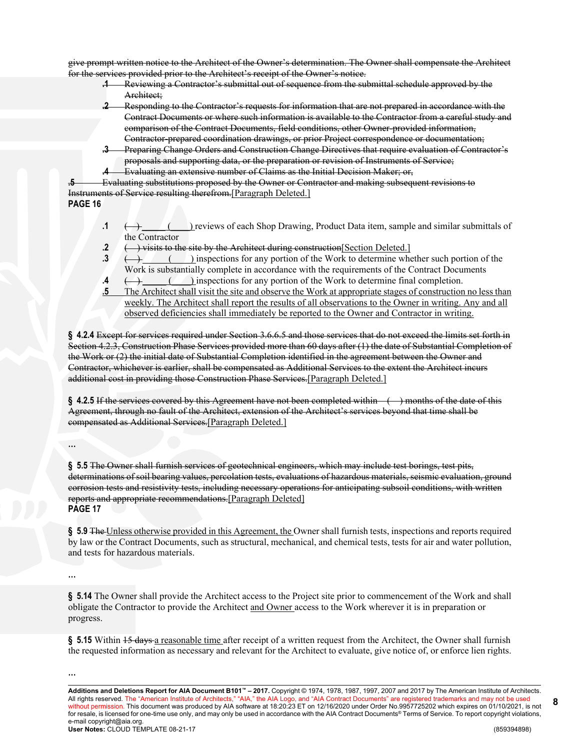give prompt written notice to the Architect of the Owner's determination. The Owner shall compensate the Architect for the services provided prior to the Architect's receipt of the Owner's notice.

- **.1** Reviewing a Contractor's submittal out of sequence from the submittal schedule approved by the Architect;
- **.2** Responding to the Contractor's requests for information that are not prepared in accordance with the Contract Documents or where such information is available to the Contractor from a careful study and comparison of the Contract Documents, field conditions, other Owner-provided information, Contractor-prepared coordination drawings, or prior Project correspondence or documentation;
- **.3** Preparing Change Orders and Construction Change Directives that require evaluation of Contractor's proposals and supporting data, or the preparation or revision of Instruments of Service;
- **.4** Evaluating an extensive number of Claims as the Initial Decision Maker; or,

**.5** Evaluating substitutions proposed by the Owner or Contractor and making subsequent revisions to Instruments of Service resulting therefrom.[Paragraph Deleted.] **PAGE 16**

- **.1**  $\longleftrightarrow$  ( ) reviews of each Shop Drawing, Product Data item, sample and similar submittals of the Contractor
- **2**  $\leftarrow$  **)** visits to the site by the Architect during construction [Section Deleted.]
- **.3** ( ) inspections for any portion of the Work to determine whether such portion of the Work is substantially complete in accordance with the requirements of the Contract Documents
- **.4**  $\longleftrightarrow$  ( ) inspections for any portion of the Work to determine final completion.
- **.5** The Architect shall visit the site and observe the Work at appropriate stages of construction no less than weekly. The Architect shall report the results of all observations to the Owner in writing. Any and all observed deficiencies shall immediately be reported to the Owner and Contractor in writing.

**§ 4.2.4** Except for services required under Section 3.6.6.5 and those services that do not exceed the limits set forth in Section 4.2.3, Construction Phase Services provided more than 60 days after (1) the date of Substantial Completion of the Work or (2) the initial date of Substantial Completion identified in the agreement between the Owner and Contractor, whichever is earlier, shall be compensated as Additional Services to the extent the Architect incurs additional cost in providing those Construction Phase Services.[Paragraph Deleted.]

**§ 4.2.5** If the services covered by this Agreement have not been completed within ( ) months of the date of this Agreement, through no fault of the Architect, extension of the Architect's services beyond that time shall be compensated as Additional Services.[Paragraph Deleted.]

**…**

**§ 5.5** The Owner shall furnish services of geotechnical engineers, which may include test borings, test pits, determinations of soil bearing values, percolation tests, evaluations of hazardous materials, seismic evaluation, ground corrosion tests and resistivity tests, including necessary operations for anticipating subsoil conditions, with written reports and appropriate recommendations.[Paragraph Deleted] **PAGE 17**

§ 5.9 The Unless otherwise provided in this Agreement, the Owner shall furnish tests, inspections and reports required by law or the Contract Documents, such as structural, mechanical, and chemical tests, tests for air and water pollution, and tests for hazardous materials.

**…**

**§ 5.14** The Owner shall provide the Architect access to the Project site prior to commencement of the Work and shall obligate the Contractor to provide the Architect and Owner access to the Work wherever it is in preparation or progress.

§ 5.15 Within 15 days a reasonable time after receipt of a written request from the Architect, the Owner shall furnish the requested information as necessary and relevant for the Architect to evaluate, give notice of, or enforce lien rights.

**…**

**Additions and Deletions Report for AIA Document B101™ – 2017.** Copyright © 1974, 1978, 1987, 1997, 2007 and 2017 by The American Institute of Architects. All rights reserved. The "American Institute of Architects," "AIA," the AIA Logo, and "AIA Contract Documents" are registered trademarks and may not be used without permission. This document was produced by AIA software at 18:20:23 ET on 12/16/2020 under Order No.9957725202 which expires on 01/10/2021, is not for resale, is licensed for one-time use only, and may only be used in accordance with the AIA Contract Documents® Terms of Service. To report copyright violations, e-mail copyright@aia.org. **User Notes:** CLOUD TEMPLATE 08-21-17 (859394898)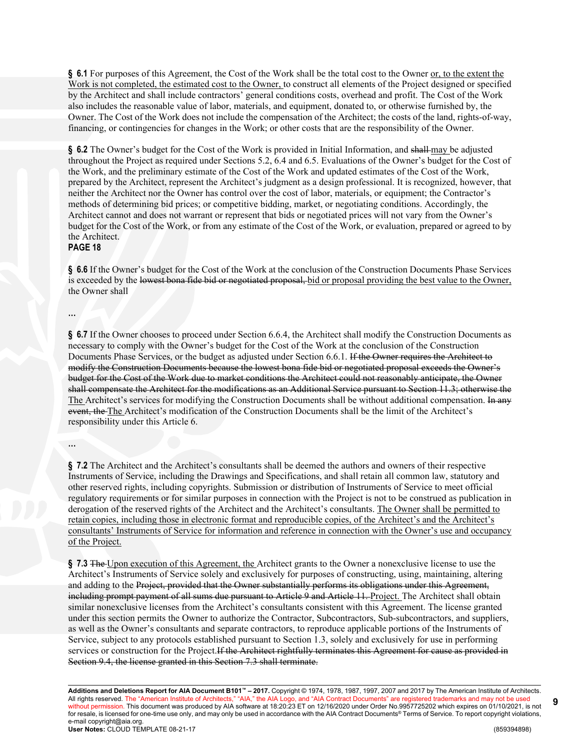§ 6.1 For purposes of this Agreement, the Cost of the Work shall be the total cost to the Owner <u>or, to the extent the</u> Work is not completed, the estimated cost to the Owner, to construct all elements of the Project designed or specified by the Architect and shall include contractors' general conditions costs, overhead and profit. The Cost of the Work also includes the reasonable value of labor, materials, and equipment, donated to, or otherwise furnished by, the Owner. The Cost of the Work does not include the compensation of the Architect; the costs of the land, rights-of-way, financing, or contingencies for changes in the Work; or other costs that are the responsibility of the Owner.

§ 6.2 The Owner's budget for the Cost of the Work is provided in Initial Information, and shall may be adjusted throughout the Project as required under Sections 5.2, 6.4 and 6.5. Evaluations of the Owner's budget for the Cost of the Work, and the preliminary estimate of the Cost of the Work and updated estimates of the Cost of the Work, prepared by the Architect, represent the Architect's judgment as a design professional. It is recognized, however, that neither the Architect nor the Owner has control over the cost of labor, materials, or equipment; the Contractor's methods of determining bid prices; or competitive bidding, market, or negotiating conditions. Accordingly, the Architect cannot and does not warrant or represent that bids or negotiated prices will not vary from the Owner's budget for the Cost of the Work, or from any estimate of the Cost of the Work, or evaluation, prepared or agreed to by the Architect.

#### **PAGE 18**

**§ 6.6** If the Owner's budget for the Cost of the Work at the conclusion of the Construction Documents Phase Services is exceeded by the lowest bona fide bid or negotiated proposal, bid or proposal providing the best value to the Owner, the Owner shall

**…**

**§ 6.7** If the Owner chooses to proceed under Section 6.6.4, the Architect shall modify the Construction Documents as necessary to comply with the Owner's budget for the Cost of the Work at the conclusion of the Construction Documents Phase Services, or the budget as adjusted under Section 6.6.1. If the Owner requires the Architect to modify the Construction Documents because the lowest bona fide bid or negotiated proposal exceeds the Owner's budget for the Cost of the Work due to market conditions the Architect could not reasonably anticipate, the Owner shall compensate the Architect for the modifications as an Additional Service pursuant to Section 11.3; otherwise the The Architect's services for modifying the Construction Documents shall be without additional compensation. In any event, the The Architect's modification of the Construction Documents shall be the limit of the Architect's responsibility under this Article 6.

**…**

**§ 7.2** The Architect and the Architect's consultants shall be deemed the authors and owners of their respective Instruments of Service, including the Drawings and Specifications, and shall retain all common law, statutory and other reserved rights, including copyrights. Submission or distribution of Instruments of Service to meet official regulatory requirements or for similar purposes in connection with the Project is not to be construed as publication in derogation of the reserved rights of the Architect and the Architect's consultants. The Owner shall be permitted to retain copies, including those in electronic format and reproducible copies, of the Architect's and the Architect's consultants' Instruments of Service for information and reference in connection with the Owner's use and occupancy of the Project.

**§ 7.3** The Upon execution of this Agreement, the Architect grants to the Owner a nonexclusive license to use the Architect's Instruments of Service solely and exclusively for purposes of constructing, using, maintaining, altering and adding to the Project, provided that the Owner substantially performs its obligations under this Agreement, including prompt payment of all sums due pursuant to Article 9 and Article 11. Project. The Architect shall obtain similar nonexclusive licenses from the Architect's consultants consistent with this Agreement. The license granted under this section permits the Owner to authorize the Contractor, Subcontractors, Sub-subcontractors, and suppliers, as well as the Owner's consultants and separate contractors, to reproduce applicable portions of the Instruments of Service, subject to any protocols established pursuant to Section 1.3, solely and exclusively for use in performing services or construction for the Project.If the Architect rightfully terminates this Agreement for cause as provided in Section 9.4, the license granted in this Section 7.3 shall terminate.

**Additions and Deletions Report for AIA Document B101™ – 2017.** Copyright © 1974, 1978, 1987, 1997, 2007 and 2017 by The American Institute of Architects. All rights reserved. The "American Institute of Architects," "AIA," the AIA Logo, and "AIA Contract Documents" are registered trademarks and may not be used without permission. This document was produced by AIA software at 18:20:23 ET on 12/16/2020 under Order No.9957725202 which expires on 01/10/2021, is not for resale, is licensed for one-time use only, and may only be used in accordance with the AIA Contract Documents® Terms of Service. To report copyright violations, e-mail copyright@aia.org. **User Notes:** CLOUD TEMPLATE 08-21-17 (859394898)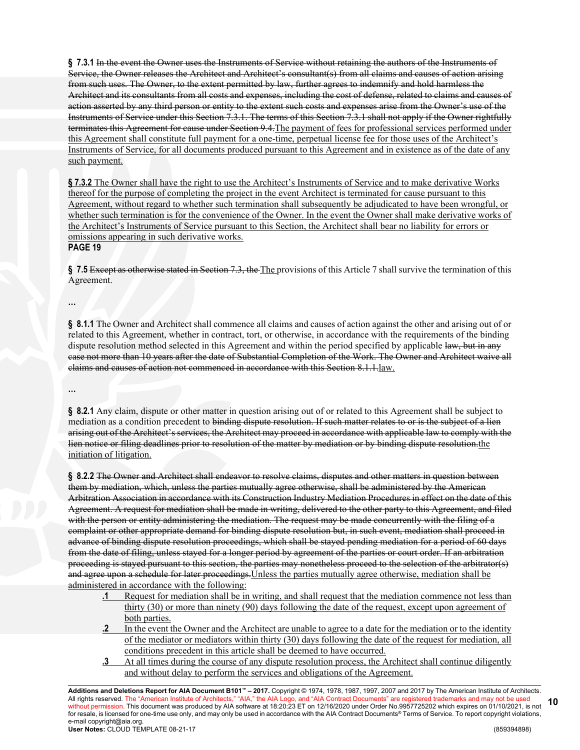**§ 7.3.1** In the event the Owner uses the Instruments of Service without retaining the authors of the Instruments of Service, the Owner releases the Architect and Architect's consultant(s) from all claims and causes of action arising from such uses. The Owner, to the extent permitted by law, further agrees to indemnify and hold harmless the Architect and its consultants from all costs and expenses, including the cost of defense, related to claims and causes of action asserted by any third person or entity to the extent such costs and expenses arise from the Owner's use of the Instruments of Service under this Section 7.3.1. The terms of this Section 7.3.1 shall not apply if the Owner rightfully terminates this Agreement for cause under Section 9.4.The payment of fees for professional services performed under this Agreement shall constitute full payment for a one-time, perpetual license fee for those uses of the Architect's Instruments of Service, for all documents produced pursuant to this Agreement and in existence as of the date of any such payment.

**§ 7.3.2** The Owner shall have the right to use the Architect's Instruments of Service and to make derivative Works thereof for the purpose of completing the project in the event Architect is terminated for cause pursuant to this Agreement, without regard to whether such termination shall subsequently be adjudicated to have been wrongful, or whether such termination is for the convenience of the Owner. In the event the Owner shall make derivative works of the Architect's Instruments of Service pursuant to this Section, the Architect shall bear no liability for errors or omissions appearing in such derivative works. **PAGE 19**

**§ 7.5** Except as otherwise stated in Section 7.3, the The provisions of this Article 7 shall survive the termination of this Agreement.

**§ 8.1.1** The Owner and Architect shall commence all claims and causes of action against the other and arising out of or related to this Agreement, whether in contract, tort, or otherwise, in accordance with the requirements of the binding dispute resolution method selected in this Agreement and within the period specified by applicable law, but in any case not more than 10 years after the date of Substantial Completion of the Work. The Owner and Architect waive all claims and causes of action not commenced in accordance with this Section 8.1.1.law.

**…**

**…**

**§ 8.2.1** Any claim, dispute or other matter in question arising out of or related to this Agreement shall be subject to mediation as a condition precedent to binding dispute resolution. If such matter relates to or is the subject of a lien arising out of the Architect's services, the Architect may proceed in accordance with applicable law to comply with the lien notice or filing deadlines prior to resolution of the matter by mediation or by binding dispute resolution.the initiation of litigation.

**§ 8.2.2** The Owner and Architect shall endeavor to resolve claims, disputes and other matters in question between them by mediation, which, unless the parties mutually agree otherwise, shall be administered by the American Arbitration Association in accordance with its Construction Industry Mediation Procedures in effect on the date of this Agreement. A request for mediation shall be made in writing, delivered to the other party to this Agreement, and filed with the person or entity administering the mediation. The request may be made concurrently with the filing of a complaint or other appropriate demand for binding dispute resolution but, in such event, mediation shall proceed in advance of binding dispute resolution proceedings, which shall be stayed pending mediation for a period of 60 days from the date of filing, unless stayed for a longer period by agreement of the parties or court order. If an arbitration proceeding is stayed pursuant to this section, the parties may nonetheless proceed to the selection of the arbitrator(s) and agree upon a schedule for later proceedings.Unless the parties mutually agree otherwise, mediation shall be administered in accordance with the following:

- **.1** Request for mediation shall be in writing, and shall request that the mediation commence not less than thirty (30) or more than ninety (90) days following the date of the request, except upon agreement of both parties.
- **.2** In the event the Owner and the Architect are unable to agree to a date for the mediation or to the identity of the mediator or mediators within thirty (30) days following the date of the request for mediation, all conditions precedent in this article shall be deemed to have occurred.
- **.3** At all times during the course of any dispute resolution process, the Architect shall continue diligently and without delay to perform the services and obligations of the Agreement.

**Additions and Deletions Report for AIA Document B101™ – 2017.** Copyright © 1974, 1978, 1987, 1997, 2007 and 2017 by The American Institute of Architects. All rights reserved. The "American Institute of Architects," "AIA," the AIA Logo, and "AIA Contract Documents" are registered trademarks and may not be used without permission. This document was produced by AIA software at 18:20:23 ET on 12/16/2020 under Order No.9957725202 which expires on 01/10/2021, is not for resale, is licensed for one-time use only, and may only be used in accordance with the AIA Contract Documents® Terms of Service. To report copyright violations, e-mail copyright@aia.org. **User Notes:** CLOUD TEMPLATE 08-21-17 (859394898) **10**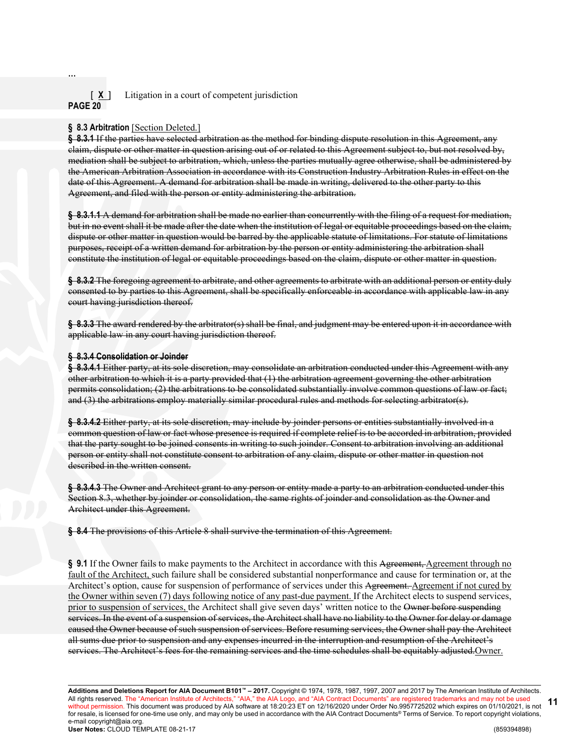# [ **X** ] Litigation in a court of competent jurisdiction **PAGE 20**

# § 8.3 Arbitration [Section Deleted.]

**…**

**§ 8.3.1** If the parties have selected arbitration as the method for binding dispute resolution in this Agreement, any claim, dispute or other matter in question arising out of or related to this Agreement subject to, but not resolved by, mediation shall be subject to arbitration, which, unless the parties mutually agree otherwise, shall be administered by the American Arbitration Association in accordance with its Construction Industry Arbitration Rules in effect on the date of this Agreement. A demand for arbitration shall be made in writing, delivered to the other party to this Agreement, and filed with the person or entity administering the arbitration.

**§ 8.3.1.1** A demand for arbitration shall be made no earlier than concurrently with the filing of a request for mediation, but in no event shall it be made after the date when the institution of legal or equitable proceedings based on the claim, dispute or other matter in question would be barred by the applicable statute of limitations. For statute of limitations purposes, receipt of a written demand for arbitration by the person or entity administering the arbitration shall constitute the institution of legal or equitable proceedings based on the claim, dispute or other matter in question.

**§ 8.3.2** The foregoing agreement to arbitrate, and other agreements to arbitrate with an additional person or entity duly consented to by parties to this Agreement, shall be specifically enforceable in accordance with applicable law in any court having jurisdiction thereof.

**§ 8.3.3** The award rendered by the arbitrator(s) shall be final, and judgment may be entered upon it in accordance with applicable law in any court having jurisdiction thereof.

#### **§ 8.3.4 Consolidation or Joinder**

**§ 8.3.4.1** Either party, at its sole discretion, may consolidate an arbitration conducted under this Agreement with any other arbitration to which it is a party provided that (1) the arbitration agreement governing the other arbitration permits consolidation; (2) the arbitrations to be consolidated substantially involve common questions of law or fact; and (3) the arbitrations employ materially similar procedural rules and methods for selecting arbitrator(s).

**§ 8.3.4.2** Either party, at its sole discretion, may include by joinder persons or entities substantially involved in a common question of law or fact whose presence is required if complete relief is to be accorded in arbitration, provided that the party sought to be joined consents in writing to such joinder. Consent to arbitration involving an additional person or entity shall not constitute consent to arbitration of any claim, dispute or other matter in question not described in the written consent.

**§ 8.3.4.3** The Owner and Architect grant to any person or entity made a party to an arbitration conducted under this Section 8.3, whether by joinder or consolidation, the same rights of joinder and consolidation as the Owner and Architect under this Agreement.

**§ 8.4** The provisions of this Article 8 shall survive the termination of this Agreement.

§ 9.1 If the Owner fails to make payments to the Architect in accordance with this Agreement, Agreement through no fault of the Architect, such failure shall be considered substantial nonperformance and cause for termination or, at the Architect's option, cause for suspension of performance of services under this Agreement. Agreement if not cured by the Owner within seven (7) days following notice of any past-due payment. If the Architect elects to suspend services, prior to suspension of services, the Architect shall give seven days' written notice to the Owner before suspending services. In the event of a suspension of services, the Architect shall have no liability to the Owner for delay or damage caused the Owner because of such suspension of services. Before resuming services, the Owner shall pay the Architect all sums due prior to suspension and any expenses incurred in the interruption and resumption of the Architect's services. The Architect's fees for the remaining services and the time schedules shall be equitably adjusted.Owner.

**Additions and Deletions Report for AIA Document B101™ – 2017.** Copyright © 1974, 1978, 1987, 1997, 2007 and 2017 by The American Institute of Architects. All rights reserved. The "American Institute of Architects," "AIA," the AIA Logo, and "AIA Contract Documents" are registered trademarks and may not be used without permission. This document was produced by AIA software at 18:20:23 ET on 12/16/2020 under Order No.9957725202 which expires on 01/10/2021, is not for resale, is licensed for one-time use only, and may only be used in accordance with the AIA Contract Documents® Terms of Service. To report copyright violations, e-mail copyright@aia.org. **User Notes:** CLOUD TEMPLATE 08-21-17 (859394898) **11**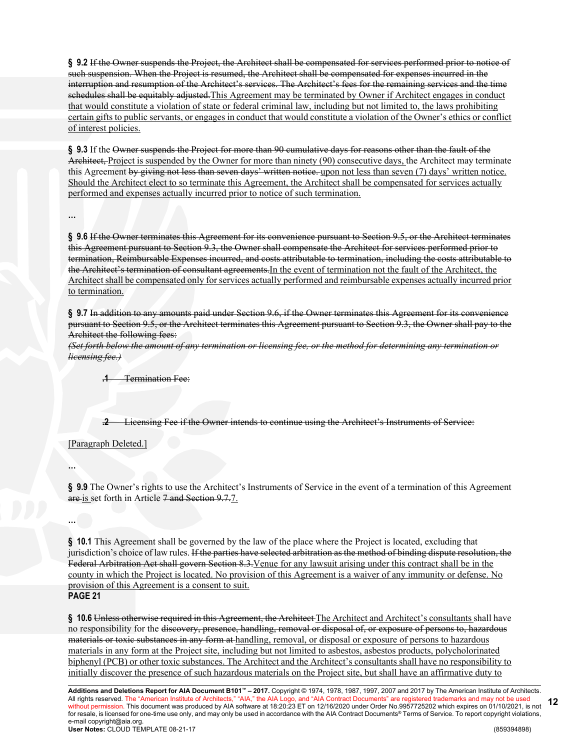**§ 9.2** If the Owner suspends the Project, the Architect shall be compensated for services performed prior to notice of such suspension. When the Project is resumed, the Architect shall be compensated for expenses incurred in the interruption and resumption of the Architect's services. The Architect's fees for the remaining services and the time schedules shall be equitably adjusted.This Agreement may be terminated by Owner if Architect engages in conduct that would constitute a violation of state or federal criminal law, including but not limited to, the laws prohibiting certain gifts to public servants, or engages in conduct that would constitute a violation of the Owner's ethics or conflict of interest policies.

**§ 9.3** If the Owner suspends the Project for more than 90 cumulative days for reasons other than the fault of the Architect, Project is suspended by the Owner for more than ninety (90) consecutive days, the Architect may terminate this Agreement by giving not less than seven days' written notice. upon not less than seven (7) days' written notice. Should the Architect elect to so terminate this Agreement, the Architect shall be compensated for services actually performed and expenses actually incurred prior to notice of such termination.

**…**

**§ 9.6** If the Owner terminates this Agreement for its convenience pursuant to Section 9.5, or the Architect terminates this Agreement pursuant to Section 9.3, the Owner shall compensate the Architect for services performed prior to termination, Reimbursable Expenses incurred, and costs attributable to termination, including the costs attributable to the Architect's termination of consultant agreements.In the event of termination not the fault of the Architect, the Architect shall be compensated only for services actually performed and reimbursable expenses actually incurred prior to termination.

**§ 9.7** In addition to any amounts paid under Section 9.6, if the Owner terminates this Agreement for its convenience pursuant to Section 9.5, or the Architect terminates this Agreement pursuant to Section 9.3, the Owner shall pay to the Architect the following fees:

*(Set forth below the amount of any termination or licensing fee, or the method for determining any termination or licensing fee.)*

**.1** Termination Fee:

**.2** Licensing Fee if the Owner intends to continue using the Architect's Instruments of Service:

[Paragraph Deleted.]

**…**

**…**

**§ 9.9** The Owner's rights to use the Architect's Instruments of Service in the event of a termination of this Agreement are is set forth in Article 7 and Section 9.7.7.

**§ 10.1** This Agreement shall be governed by the law of the place where the Project is located, excluding that jurisdiction's choice of law rules. If the parties have selected arbitration as the method of binding dispute resolution, the Federal Arbitration Act shall govern Section 8.3.Venue for any lawsuit arising under this contract shall be in the county in which the Project is located. No provision of this Agreement is a waiver of any immunity or defense. No provision of this Agreement is a consent to suit.

# **PAGE 21**

**§ 10.6** Unless otherwise required in this Agreement, the Architect The Architect and Architect's consultants shall have no responsibility for the discovery, presence, handling, removal or disposal of, or exposure of persons to, hazardous materials or toxic substances in any form at handling, removal, or disposal or exposure of persons to hazardous materials in any form at the Project site, including but not limited to asbestos, asbestos products, polycholorinated biphenyl (PCB) or other toxic substances. The Architect and the Architect's consultants shall have no responsibility to initially discover the presence of such hazardous materials on the Project site, but shall have an affirmative duty to

**Additions and Deletions Report for AIA Document B101™ – 2017.** Copyright © 1974, 1978, 1987, 1997, 2007 and 2017 by The American Institute of Architects. All rights reserved. The "American Institute of Architects," "AIA," the AIA Logo, and "AIA Contract Documents" are registered trademarks and may not be used without permission. This document was produced by AIA software at 18:20:23 ET on 12/16/2020 under Order No.9957725202 which expires on 01/10/2021, is not for resale, is licensed for one-time use only, and may only be used in accordance with the AIA Contract Documents® Terms of Service. To report copyright violations, e-mail copyright@aia.org. **User Notes:** CLOUD TEMPLATE 08-21-17 (859394898) **12**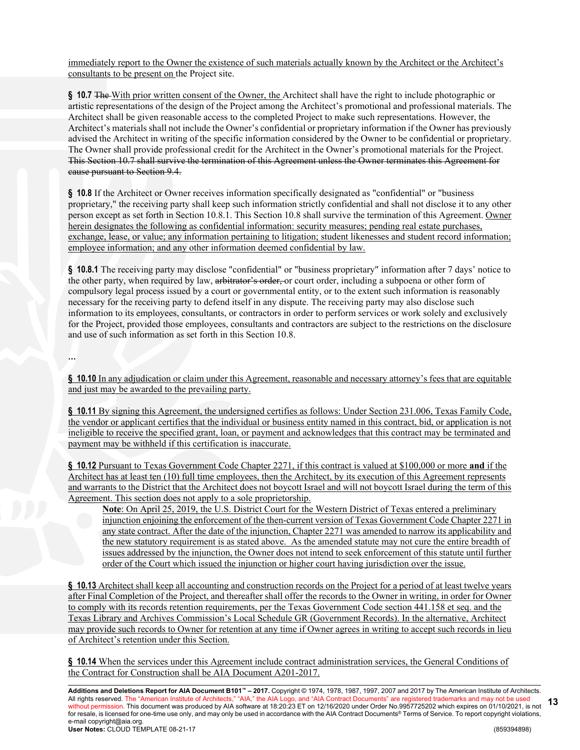immediately report to the Owner the existence of such materials actually known by the Architect or the Architect's consultants to be present on the Project site.

**§ 10.7** The With prior written consent of the Owner, the Architect shall have the right to include photographic or artistic representations of the design of the Project among the Architect's promotional and professional materials. The Architect shall be given reasonable access to the completed Project to make such representations. However, the Architect's materials shall not include the Owner's confidential or proprietary information if the Owner has previously advised the Architect in writing of the specific information considered by the Owner to be confidential or proprietary. The Owner shall provide professional credit for the Architect in the Owner's promotional materials for the Project. This Section 10.7 shall survive the termination of this Agreement unless the Owner terminates this Agreement for cause pursuant to Section 9.4.

**§ 10.8** If the Architect or Owner receives information specifically designated as "confidential" or "business proprietary," the receiving party shall keep such information strictly confidential and shall not disclose it to any other person except as set forth in Section 10.8.1. This Section 10.8 shall survive the termination of this Agreement. Owner herein designates the following as confidential information: security measures; pending real estate purchases, exchange, lease, or value; any information pertaining to litigation; student likenesses and student record information; employee information; and any other information deemed confidential by law.

**§ 10.8.1** The receiving party may disclose "confidential" or "business proprietary" information after 7 days' notice to the other party, when required by law, arbitrator's order, or court order, including a subpoena or other form of compulsory legal process issued by a court or governmental entity, or to the extent such information is reasonably necessary for the receiving party to defend itself in any dispute. The receiving party may also disclose such information to its employees, consultants, or contractors in order to perform services or work solely and exclusively for the Project, provided those employees, consultants and contractors are subject to the restrictions on the disclosure and use of such information as set forth in this Section 10.8.

**…**

**§ 10.10** In any adjudication or claim under this Agreement, reasonable and necessary attorney's fees that are equitable and just may be awarded to the prevailing party.

**§ 10.11** By signing this Agreement, the undersigned certifies as follows: Under Section 231.006, Texas Family Code, the vendor or applicant certifies that the individual or business entity named in this contract, bid, or application is not ineligible to receive the specified grant, loan, or payment and acknowledges that this contract may be terminated and payment may be withheld if this certification is inaccurate.

**§ 10.12** Pursuant to Texas Government Code Chapter 2271, if this contract is valued at \$100,000 or more **and** if the Architect has at least ten (10) full time employees, then the Architect, by its execution of this Agreement represents and warrants to the District that the Architect does not boycott Israel and will not boycott Israel during the term of this Agreement. This section does not apply to a sole proprietorship.

**Note**: On April 25, 2019, the U.S. District Court for the Western District of Texas entered a preliminary injunction enjoining the enforcement of the then-current version of Texas Government Code Chapter 2271 in any state contract. After the date of the injunction, Chapter 2271 was amended to narrow its applicability and the new statutory requirement is as stated above. As the amended statute may not cure the entire breadth of issues addressed by the injunction, the Owner does not intend to seek enforcement of this statute until further order of the Court which issued the injunction or higher court having jurisdiction over the issue.

**§ 10.13** Architect shall keep all accounting and construction records on the Project for a period of at least twelve years after Final Completion of the Project, and thereafter shall offer the records to the Owner in writing, in order for Owner to comply with its records retention requirements, per the Texas Government Code section 441.158 et seq. and the Texas Library and Archives Commission's Local Schedule GR (Government Records). In the alternative, Architect may provide such records to Owner for retention at any time if Owner agrees in writing to accept such records in lieu of Architect's retention under this Section.

**§ 10.14** When the services under this Agreement include contract administration services, the General Conditions of the Contract for Construction shall be AIA Document A201-2017.

**Additions and Deletions Report for AIA Document B101™ – 2017.** Copyright © 1974, 1978, 1987, 1997, 2007 and 2017 by The American Institute of Architects. All rights reserved. The "American Institute of Architects," "AIA," the AIA Logo, and "AIA Contract Documents" are registered trademarks and may not be used without permission. This document was produced by AIA software at 18:20:23 ET on 12/16/2020 under Order No.9957725202 which expires on 01/10/2021, is not for resale, is licensed for one-time use only, and may only be used in accordance with the AIA Contract Documents® Terms of Service. To report copyright violations, e-mail copyright@aia.org. **User Notes:** CLOUD TEMPLATE 08-21-17 (859394898) **13**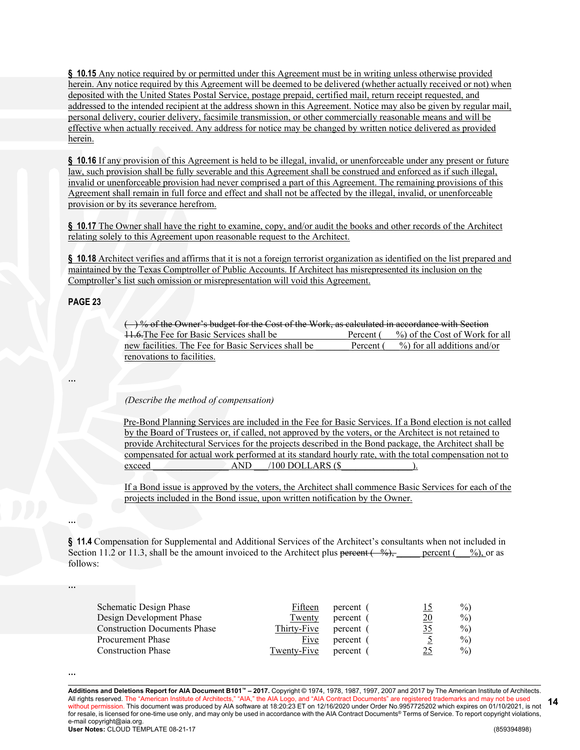**§ 10.15** Any notice required by or permitted under this Agreement must be in writing unless otherwise provided herein. Any notice required by this Agreement will be deemed to be delivered (whether actually received or not) when deposited with the United States Postal Service, postage prepaid, certified mail, return receipt requested, and addressed to the intended recipient at the address shown in this Agreement. Notice may also be given by regular mail, personal delivery, courier delivery, facsimile transmission, or other commercially reasonable means and will be effective when actually received. Any address for notice may be changed by written notice delivered as provided herein.

**§ 10.16** If any provision of this Agreement is held to be illegal, invalid, or unenforceable under any present or future law, such provision shall be fully severable and this Agreement shall be construed and enforced as if such illegal, invalid or unenforceable provision had never comprised a part of this Agreement. The remaining provisions of this Agreement shall remain in full force and effect and shall not be affected by the illegal, invalid, or unenforceable provision or by its severance herefrom.

**§ 10.17** The Owner shall have the right to examine, copy, and/or audit the books and other records of the Architect relating solely to this Agreement upon reasonable request to the Architect.

**§ 10.18** Architect verifies and affirms that it is not a foreign terrorist organization as identified on the list prepared and maintained by the Texas Comptroller of Public Accounts. If Architect has misrepresented its inclusion on the Comptroller's list such omission or misrepresentation will void this Agreement.

#### **PAGE 23**

**…**

**…**

**…**

 $($ ) % of the Owner's budget for the Cost of the Work, as calculated in accordance with Section 11.6. The Fee for Basic Services shall be **E**ercent ( $\%$ ) of the Cost of Work for all new facilities. The Fee for Basic Services shall be **Percent**  $\overline{(-\%)}$  for all additions and/or renovations to facilities.

#### *(Describe the method of compensation)*

Pre-Bond Planning Services are included in the Fee for Basic Services. If a Bond election is not called by the Board of Trustees or, if called, not approved by the voters, or the Architect is not retained to provide Architectural Services for the projects described in the Bond package, the Architect shall be compensated for actual work performed at its standard hourly rate, with the total compensation not to exceed AND  $/100$  DOLLARS (\$).

If a Bond issue is approved by the voters, the Architect shall commence Basic Services for each of the projects included in the Bond issue, upon written notification by the Owner.

**§ 11.4** Compensation for Supplemental and Additional Services of the Architect's consultants when not included in Section 11.2 or 11.3, shall be the amount invoiced to the Architect plus percent ( $\frac{\%}{\%}$ , percent ( $\frac{\%}{\%}$ ), or as follows:

| Schematic Design Phase              | Fifteen     | percent ( | 15              | $\%$ |
|-------------------------------------|-------------|-----------|-----------------|------|
| Design Development Phase            | Twenty      | percent ( | $\overline{20}$ | $\%$ |
| <b>Construction Documents Phase</b> | Thirty-Five | percent ( | 35              | $\%$ |
| <b>Procurement Phase</b>            | Five        | percent ( |                 | $\%$ |
| <b>Construction Phase</b>           | Twenty-Five | percent   | 25              | $\%$ |

**<sup>…</sup>**

**Additions and Deletions Report for AIA Document B101™ – 2017.** Copyright © 1974, 1978, 1987, 1997, 2007 and 2017 by The American Institute of Architects. All rights reserved. The "American Institute of Architects," "AIA," the AIA Logo, and "AIA Contract Documents" are registered trademarks and may not be used without permission. This document was produced by AIA software at 18:20:23 ET on 12/16/2020 under Order No.9957725202 which expires on 01/10/2021, is not for resale, is licensed for one-time use only, and may only be used in accordance with the AIA Contract Documents® Terms of Service. To report copyright violations, e-mail copyright@aia.org. **User Notes:** CLOUD TEMPLATE 08-21-17 (859394898) **14**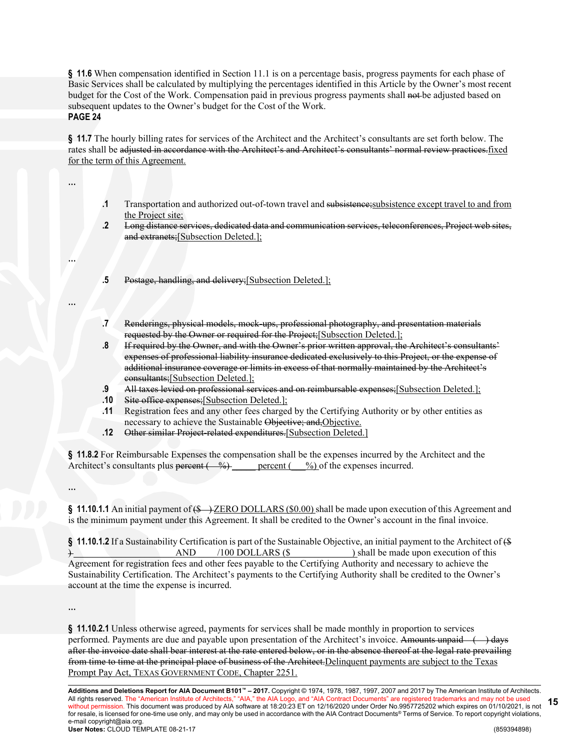**§ 11.6** When compensation identified in Section 11.1 is on a percentage basis, progress payments for each phase of Basic Services shall be calculated by multiplying the percentages identified in this Article by the Owner's most recent budget for the Cost of the Work. Compensation paid in previous progress payments shall not be adjusted based on subsequent updates to the Owner's budget for the Cost of the Work. **PAGE 24**

**§ 11.7** The hourly billing rates for services of the Architect and the Architect's consultants are set forth below. The rates shall be adjusted in accordance with the Architect's and Architect's consultants' normal review practices.fixed for the term of this Agreement.

**…**

**…**

**…**

- **.1** Transportation and authorized out-of-town travel and subsistence;subsistence except travel to and from the Project site;
- **.2** Long distance services, dedicated data and communication services, teleconferences, Project web sites, and extranets;[Subsection Deleted.];
- **.5** Postage, handling, and delivery;[Subsection Deleted.];
- **.7** Renderings, physical models, mock-ups, professional photography, and presentation materials requested by the Owner or required for the Project;[Subsection Deleted.];
- **.8** If required by the Owner, and with the Owner's prior written approval, the Architect's consultants' expenses of professional liability insurance dedicated exclusively to this Project, or the expense of additional insurance coverage or limits in excess of that normally maintained by the Architect's consultants;[Subsection Deleted.];
- **.9** All taxes levied on professional services and on reimbursable expenses;[Subsection Deleted.];
- **.10** Site office expenses;[Subsection Deleted.];
- **.11** Registration fees and any other fees charged by the Certifying Authority or by other entities as necessary to achieve the Sustainable Objective; and,Objective.
- **.12** Other similar Project-related expenditures.[Subsection Deleted.]

**§ 11.8.2** For Reimbursable Expenses the compensation shall be the expenses incurred by the Architect and the Architect's consultants plus percent  $\left(\begin{array}{cc} \varphi_0 \end{array}\right)$  percent  $\left(\begin{array}{cc} \varphi_0 \end{array}\right)$  of the expenses incurred.

**…**

§ **11.10.1.1** An initial payment of (\$—)ZERO DOLLARS (\$0.00) shall be made upon execution of this Agreement and is the minimum payment under this Agreement. It shall be credited to the Owner's account in the final invoice.

**§ 11.10.1.2** If a Sustainability Certification is part of the Sustainable Objective, an initial payment to the Architect of (\$ ) \_\_\_\_\_\_\_\_\_\_\_\_\_\_\_\_\_\_\_\_\_ AND \_\_\_\_/100 DOLLARS (\$\_\_\_\_\_\_\_\_\_\_\_\_\_) shall be made upon execution of this Agreement for registration fees and other fees payable to the Certifying Authority and necessary to achieve the Sustainability Certification. The Architect's payments to the Certifying Authority shall be credited to the Owner's account at the time the expense is incurred.

**…**

**§ 11.10.2.1** Unless otherwise agreed, payments for services shall be made monthly in proportion to services performed. Payments are due and payable upon presentation of the Architect's invoice. Amounts unpaid  $\longleftrightarrow$  days after the invoice date shall bear interest at the rate entered below, or in the absence thereof at the legal rate prevailing from time to time at the principal place of business of the Architect.Delinquent payments are subject to the Texas Prompt Pay Act, TEXAS GOVERNMENT CODE, Chapter 2251.

**Additions and Deletions Report for AIA Document B101™ – 2017.** Copyright © 1974, 1978, 1987, 1997, 2007 and 2017 by The American Institute of Architects. All rights reserved. The "American Institute of Architects," "AIA," the AIA Logo, and "AIA Contract Documents" are registered trademarks and may not be used without permission. This document was produced by AIA software at 18:20:23 ET on 12/16/2020 under Order No.9957725202 which expires on 01/10/2021, is not for resale, is licensed for one-time use only, and may only be used in accordance with the AIA Contract Documents® Terms of Service. To report copyright violations, e-mail copyright@aia.org. **User Notes:** CLOUD TEMPLATE 08-21-17 (859394898) **15**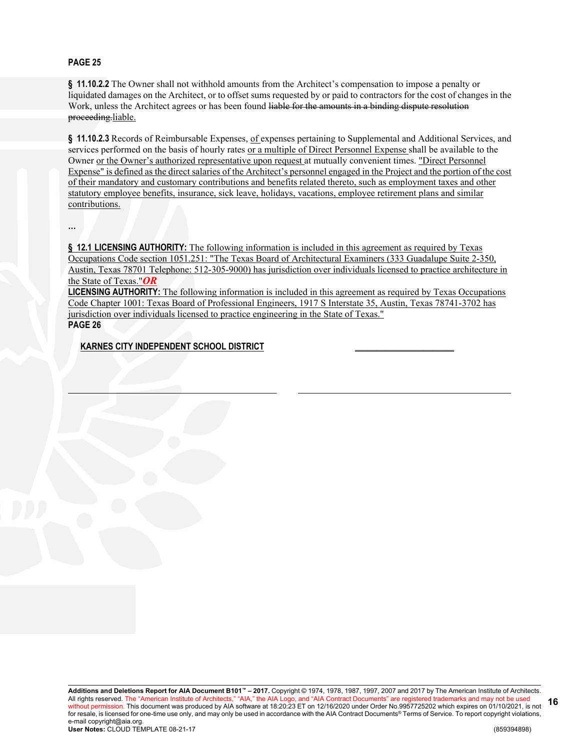# **PAGE 25**

**§ 11.10.2.2** The Owner shall not withhold amounts from the Architect's compensation to impose a penalty or liquidated damages on the Architect, or to offset sums requested by or paid to contractors for the cost of changes in the Work, unless the Architect agrees or has been found liable for the amounts in a binding dispute resolution proceeding.liable.

§ 11.10.2.3 Records of Reimbursable Expenses, of expenses pertaining to Supplemental and Additional Services, and services performed on the basis of hourly rates or a multiple of Direct Personnel Expense shall be available to the Owner or the Owner's authorized representative upon request at mutually convenient times. "Direct Personnel Expense" is defined as the direct salaries of the Architect's personnel engaged in the Project and the portion of the cost of their mandatory and customary contributions and benefits related thereto, such as employment taxes and other statutory employee benefits, insurance, sick leave, holidays, vacations, employee retirement plans and similar contributions.

**…**

**§ 12.1 LICENSING AUTHORITY:** The following information is included in this agreement as required by Texas Occupations Code section 1051.251: "The Texas Board of Architectural Examiners (333 Guadalupe Suite 2-350, Austin, Texas 78701 Telephone: 512-305-9000) has jurisdiction over individuals licensed to practice architecture in the State of Texas."*OR*

**LICENSING AUTHORITY:** The following information is included in this agreement as required by Texas Occupations Code Chapter 1001: Texas Board of Professional Engineers, 1917 S Interstate 35, Austin, Texas 78741-3702 has jurisdiction over individuals licensed to practice engineering in the State of Texas." **PAGE 26**

**KARNES CITY INDEPENDENT SCHOOL DISTRICT \_\_\_\_\_\_\_\_\_\_\_\_\_\_\_\_\_\_\_\_\_\_\_**